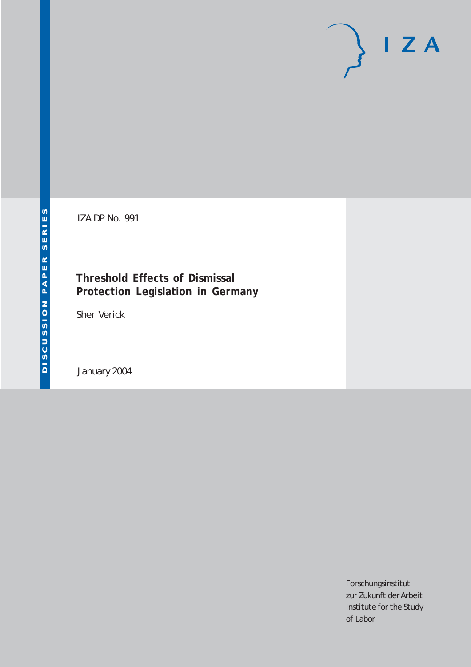# $I Z A$

IZA DP No. 991

#### **Threshold Effects of Dismissal Protection Legislation in Germany**

Sher Verick

January 2004

Forschungsinstitut zur Zukunft der Arbeit Institute for the Study of Labor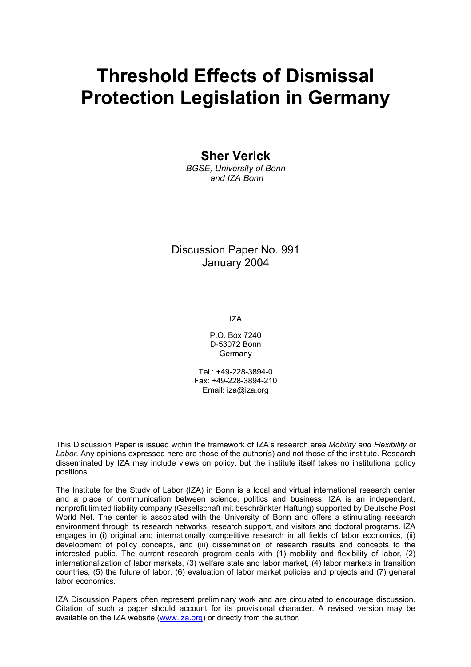# **Threshold Effects of Dismissal Protection Legislation in Germany**

**Sher Verick** 

*BGSE, University of Bonn and IZA Bonn* 

Discussion Paper No. 991 January 2004

IZA

P.O. Box 7240 D-53072 Bonn **Germany** 

Tel.: +49-228-3894-0 Fax: +49-228-3894-210 Email: [iza@iza.org](mailto:iza@iza.org)

This Discussion Paper is issued within the framework of IZA's research area *Mobility and Flexibility of Labor.* Any opinions expressed here are those of the author(s) and not those of the institute. Research disseminated by IZA may include views on policy, but the institute itself takes no institutional policy positions.

The Institute for the Study of Labor (IZA) in Bonn is a local and virtual international research center and a place of communication between science, politics and business. IZA is an independent, nonprofit limited liability company (Gesellschaft mit beschränkter Haftung) supported by Deutsche Post World Net. The center is associated with the University of Bonn and offers a stimulating research environment through its research networks, research support, and visitors and doctoral programs. IZA engages in (i) original and internationally competitive research in all fields of labor economics, (ii) development of policy concepts, and (iii) dissemination of research results and concepts to the interested public. The current research program deals with (1) mobility and flexibility of labor, (2) internationalization of labor markets, (3) welfare state and labor market, (4) labor markets in transition countries, (5) the future of labor, (6) evaluation of labor market policies and projects and (7) general labor economics.

IZA Discussion Papers often represent preliminary work and are circulated to encourage discussion. Citation of such a paper should account for its provisional character. A revised version may be available on the IZA website ([www.iza.org](http://www.iza.org/)) or directly from the author.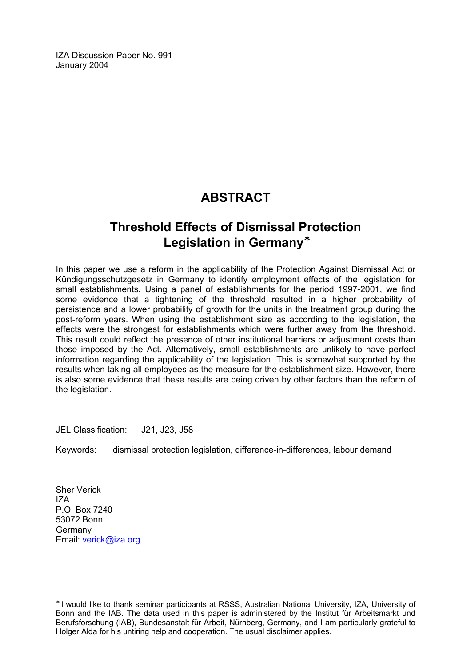IZA Discussion Paper No. 991 January 2004

## **ABSTRACT**

### **Threshold Effects of Dismissal Protection Legislation in Germany**[∗](#page-2-0)

In this paper we use a reform in the applicability of the Protection Against Dismissal Act or Kündigungsschutzgesetz in Germany to identify employment effects of the legislation for small establishments. Using a panel of establishments for the period 1997-2001, we find some evidence that a tightening of the threshold resulted in a higher probability of persistence and a lower probability of growth for the units in the treatment group during the post-reform years. When using the establishment size as according to the legislation, the effects were the strongest for establishments which were further away from the threshold. This result could reflect the presence of other institutional barriers or adjustment costs than those imposed by the Act. Alternatively, small establishments are unlikely to have perfect information regarding the applicability of the legislation. This is somewhat supported by the results when taking all employees as the measure for the establishment size. However, there is also some evidence that these results are being driven by other factors than the reform of the legislation.

JEL Classification: J21, J23, J58

Keywords: dismissal protection legislation, difference-in-differences, labour demand

Sher Verick IZA P.O. Box 7240 53072 Bonn Germany Email: [verick@iza.org](mailto:verick@iza.org)

 $\overline{a}$ 

<span id="page-2-0"></span><sup>∗</sup> I would like to thank seminar participants at RSSS, Australian National University, IZA, University of Bonn and the IAB. The data used in this paper is administered by the Institut für Arbeitsmarkt und Berufsforschung (IAB), Bundesanstalt für Arbeit, Nürnberg, Germany, and I am particularly grateful to Holger Alda for his untiring help and cooperation. The usual disclaimer applies.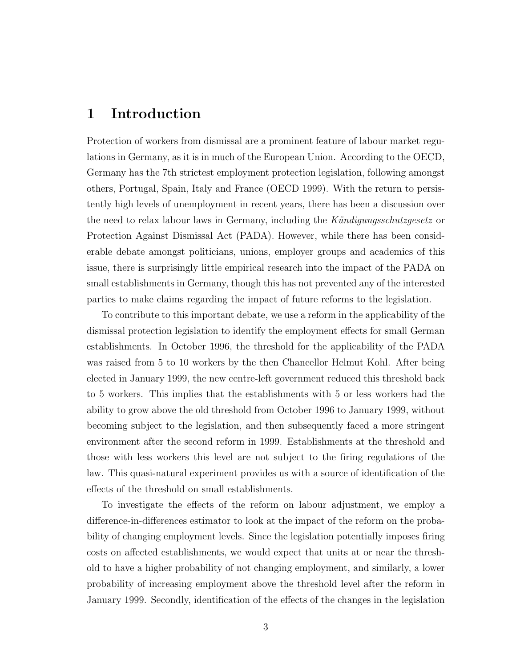#### 1 Introduction

Protection of workers from dismissal are a prominent feature of labour market regulations in Germany, as it is in much of the European Union. According to the OECD, Germany has the 7th strictest employment protection legislation, following amongst others, Portugal, Spain, Italy and France (OECD 1999). With the return to persistently high levels of unemployment in recent years, there has been a discussion over the need to relax labour laws in Germany, including the Kündigungsschutzgesetz or Protection Against Dismissal Act (PADA). However, while there has been considerable debate amongst politicians, unions, employer groups and academics of this issue, there is surprisingly little empirical research into the impact of the PADA on small establishments in Germany, though this has not prevented any of the interested parties to make claims regarding the impact of future reforms to the legislation.

To contribute to this important debate, we use a reform in the applicability of the dismissal protection legislation to identify the employment effects for small German establishments. In October 1996, the threshold for the applicability of the PADA was raised from 5 to 10 workers by the then Chancellor Helmut Kohl. After being elected in January 1999, the new centre-left government reduced this threshold back to 5 workers. This implies that the establishments with 5 or less workers had the ability to grow above the old threshold from October 1996 to January 1999, without becoming subject to the legislation, and then subsequently faced a more stringent environment after the second reform in 1999. Establishments at the threshold and those with less workers this level are not subject to the firing regulations of the law. This quasi-natural experiment provides us with a source of identification of the effects of the threshold on small establishments.

To investigate the effects of the reform on labour adjustment, we employ a difference-in-differences estimator to look at the impact of the reform on the probability of changing employment levels. Since the legislation potentially imposes firing costs on affected establishments, we would expect that units at or near the threshold to have a higher probability of not changing employment, and similarly, a lower probability of increasing employment above the threshold level after the reform in January 1999. Secondly, identification of the effects of the changes in the legislation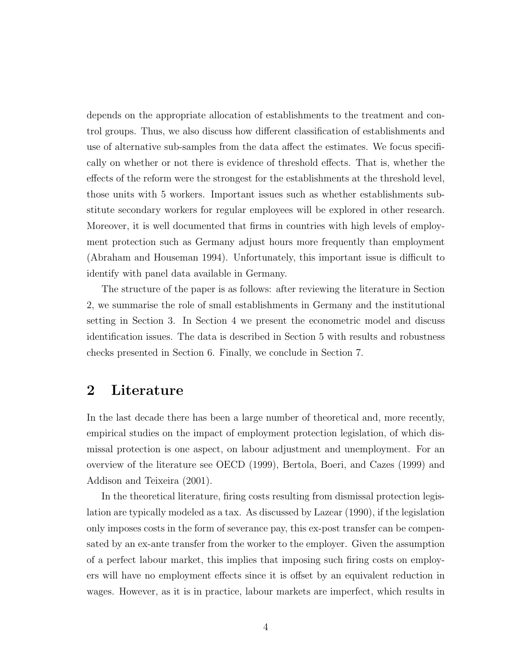depends on the appropriate allocation of establishments to the treatment and control groups. Thus, we also discuss how different classification of establishments and use of alternative sub-samples from the data affect the estimates. We focus specifically on whether or not there is evidence of threshold effects. That is, whether the effects of the reform were the strongest for the establishments at the threshold level, those units with 5 workers. Important issues such as whether establishments substitute secondary workers for regular employees will be explored in other research. Moreover, it is well documented that firms in countries with high levels of employment protection such as Germany adjust hours more frequently than employment (Abraham and Houseman 1994). Unfortunately, this important issue is difficult to identify with panel data available in Germany.

The structure of the paper is as follows: after reviewing the literature in Section 2, we summarise the role of small establishments in Germany and the institutional setting in Section 3. In Section 4 we present the econometric model and discuss identification issues. The data is described in Section 5 with results and robustness checks presented in Section 6. Finally, we conclude in Section 7.

#### 2 Literature

In the last decade there has been a large number of theoretical and, more recently, empirical studies on the impact of employment protection legislation, of which dismissal protection is one aspect, on labour adjustment and unemployment. For an overview of the literature see OECD (1999), Bertola, Boeri, and Cazes (1999) and Addison and Teixeira (2001).

In the theoretical literature, firing costs resulting from dismissal protection legislation are typically modeled as a tax. As discussed by Lazear (1990), if the legislation only imposes costs in the form of severance pay, this ex-post transfer can be compensated by an ex-ante transfer from the worker to the employer. Given the assumption of a perfect labour market, this implies that imposing such firing costs on employers will have no employment effects since it is offset by an equivalent reduction in wages. However, as it is in practice, labour markets are imperfect, which results in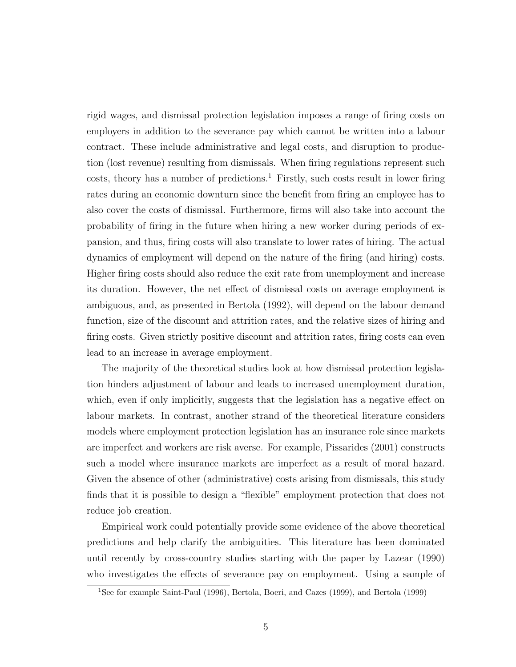rigid wages, and dismissal protection legislation imposes a range of firing costs on employers in addition to the severance pay which cannot be written into a labour contract. These include administrative and legal costs, and disruption to production (lost revenue) resulting from dismissals. When firing regulations represent such  $costs$ , theory has a number of predictions.<sup>1</sup> Firstly, such costs result in lower firing rates during an economic downturn since the benefit from firing an employee has to also cover the costs of dismissal. Furthermore, firms will also take into account the probability of firing in the future when hiring a new worker during periods of expansion, and thus, firing costs will also translate to lower rates of hiring. The actual dynamics of employment will depend on the nature of the firing (and hiring) costs. Higher firing costs should also reduce the exit rate from unemployment and increase its duration. However, the net effect of dismissal costs on average employment is ambiguous, and, as presented in Bertola (1992), will depend on the labour demand function, size of the discount and attrition rates, and the relative sizes of hiring and firing costs. Given strictly positive discount and attrition rates, firing costs can even lead to an increase in average employment.

The majority of the theoretical studies look at how dismissal protection legislation hinders adjustment of labour and leads to increased unemployment duration, which, even if only implicitly, suggests that the legislation has a negative effect on labour markets. In contrast, another strand of the theoretical literature considers models where employment protection legislation has an insurance role since markets are imperfect and workers are risk averse. For example, Pissarides (2001) constructs such a model where insurance markets are imperfect as a result of moral hazard. Given the absence of other (administrative) costs arising from dismissals, this study finds that it is possible to design a "flexible" employment protection that does not reduce job creation.

Empirical work could potentially provide some evidence of the above theoretical predictions and help clarify the ambiguities. This literature has been dominated until recently by cross-country studies starting with the paper by Lazear (1990) who investigates the effects of severance pay on employment. Using a sample of

<sup>1</sup>See for example Saint-Paul (1996), Bertola, Boeri, and Cazes (1999), and Bertola (1999)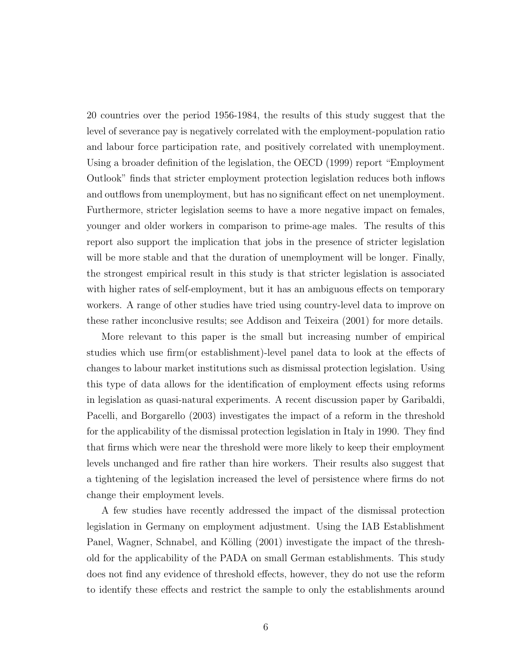20 countries over the period 1956-1984, the results of this study suggest that the level of severance pay is negatively correlated with the employment-population ratio and labour force participation rate, and positively correlated with unemployment. Using a broader definition of the legislation, the OECD (1999) report "Employment Outlook" finds that stricter employment protection legislation reduces both inflows and outflows from unemployment, but has no significant effect on net unemployment. Furthermore, stricter legislation seems to have a more negative impact on females, younger and older workers in comparison to prime-age males. The results of this report also support the implication that jobs in the presence of stricter legislation will be more stable and that the duration of unemployment will be longer. Finally, the strongest empirical result in this study is that stricter legislation is associated with higher rates of self-employment, but it has an ambiguous effects on temporary workers. A range of other studies have tried using country-level data to improve on these rather inconclusive results; see Addison and Teixeira (2001) for more details.

More relevant to this paper is the small but increasing number of empirical studies which use firm(or establishment)-level panel data to look at the effects of changes to labour market institutions such as dismissal protection legislation. Using this type of data allows for the identification of employment effects using reforms in legislation as quasi-natural experiments. A recent discussion paper by Garibaldi, Pacelli, and Borgarello (2003) investigates the impact of a reform in the threshold for the applicability of the dismissal protection legislation in Italy in 1990. They find that firms which were near the threshold were more likely to keep their employment levels unchanged and fire rather than hire workers. Their results also suggest that a tightening of the legislation increased the level of persistence where firms do not change their employment levels.

A few studies have recently addressed the impact of the dismissal protection legislation in Germany on employment adjustment. Using the IAB Establishment Panel, Wagner, Schnabel, and Kölling (2001) investigate the impact of the threshold for the applicability of the PADA on small German establishments. This study does not find any evidence of threshold effects, however, they do not use the reform to identify these effects and restrict the sample to only the establishments around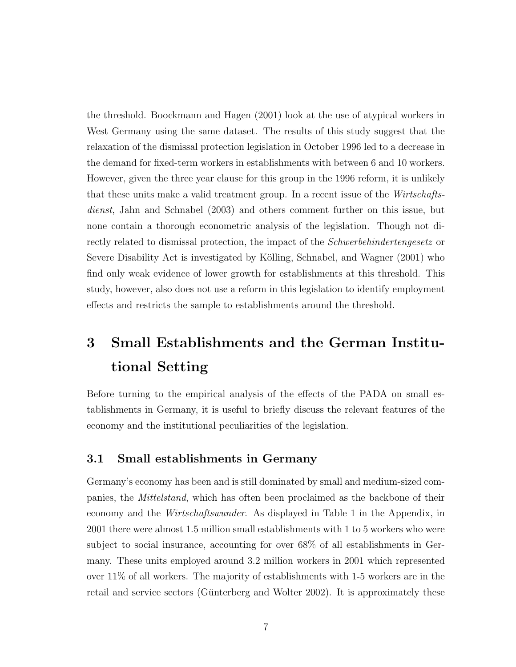the threshold. Boockmann and Hagen (2001) look at the use of atypical workers in West Germany using the same dataset. The results of this study suggest that the relaxation of the dismissal protection legislation in October 1996 led to a decrease in the demand for fixed-term workers in establishments with between 6 and 10 workers. However, given the three year clause for this group in the 1996 reform, it is unlikely that these units make a valid treatment group. In a recent issue of the Wirtschaftsdienst, Jahn and Schnabel (2003) and others comment further on this issue, but none contain a thorough econometric analysis of the legislation. Though not directly related to dismissal protection, the impact of the Schwerbehindertengesetz or Severe Disability Act is investigated by Kölling, Schnabel, and Wagner (2001) who find only weak evidence of lower growth for establishments at this threshold. This study, however, also does not use a reform in this legislation to identify employment effects and restricts the sample to establishments around the threshold.

# 3 Small Establishments and the German Institutional Setting

Before turning to the empirical analysis of the effects of the PADA on small establishments in Germany, it is useful to briefly discuss the relevant features of the economy and the institutional peculiarities of the legislation.

#### 3.1 Small establishments in Germany

Germany's economy has been and is still dominated by small and medium-sized companies, the Mittelstand, which has often been proclaimed as the backbone of their economy and the Wirtschaftswunder. As displayed in Table 1 in the Appendix, in 2001 there were almost 1.5 million small establishments with 1 to 5 workers who were subject to social insurance, accounting for over 68% of all establishments in Germany. These units employed around 3.2 million workers in 2001 which represented over 11% of all workers. The majority of establishments with 1-5 workers are in the retail and service sectors (Günterberg and Wolter 2002). It is approximately these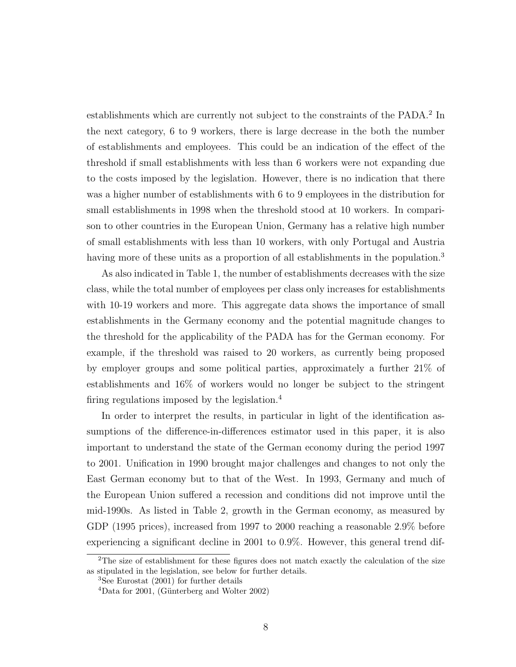establishments which are currently not subject to the constraints of the PADA.<sup>2</sup> In the next category, 6 to 9 workers, there is large decrease in the both the number of establishments and employees. This could be an indication of the effect of the threshold if small establishments with less than 6 workers were not expanding due to the costs imposed by the legislation. However, there is no indication that there was a higher number of establishments with 6 to 9 employees in the distribution for small establishments in 1998 when the threshold stood at 10 workers. In comparison to other countries in the European Union, Germany has a relative high number of small establishments with less than 10 workers, with only Portugal and Austria having more of these units as a proportion of all establishments in the population.<sup>3</sup>

As also indicated in Table 1, the number of establishments decreases with the size class, while the total number of employees per class only increases for establishments with 10-19 workers and more. This aggregate data shows the importance of small establishments in the Germany economy and the potential magnitude changes to the threshold for the applicability of the PADA has for the German economy. For example, if the threshold was raised to 20 workers, as currently being proposed by employer groups and some political parties, approximately a further 21% of establishments and 16% of workers would no longer be subject to the stringent firing regulations imposed by the legislation.<sup>4</sup>

In order to interpret the results, in particular in light of the identification assumptions of the difference-in-differences estimator used in this paper, it is also important to understand the state of the German economy during the period 1997 to 2001. Unification in 1990 brought major challenges and changes to not only the East German economy but to that of the West. In 1993, Germany and much of the European Union suffered a recession and conditions did not improve until the mid-1990s. As listed in Table 2, growth in the German economy, as measured by GDP (1995 prices), increased from 1997 to 2000 reaching a reasonable 2.9% before experiencing a significant decline in 2001 to 0.9%. However, this general trend dif-

 $2$ The size of establishment for these figures does not match exactly the calculation of the size as stipulated in the legislation, see below for further details.

<sup>3</sup>See Eurostat (2001) for further details

 $4$ Data for 2001, (Günterberg and Wolter 2002)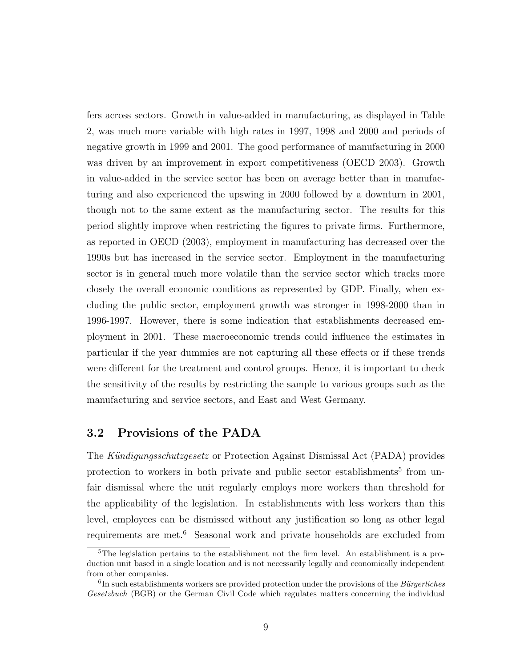fers across sectors. Growth in value-added in manufacturing, as displayed in Table 2, was much more variable with high rates in 1997, 1998 and 2000 and periods of negative growth in 1999 and 2001. The good performance of manufacturing in 2000 was driven by an improvement in export competitiveness (OECD 2003). Growth in value-added in the service sector has been on average better than in manufacturing and also experienced the upswing in 2000 followed by a downturn in 2001, though not to the same extent as the manufacturing sector. The results for this period slightly improve when restricting the figures to private firms. Furthermore, as reported in OECD (2003), employment in manufacturing has decreased over the 1990s but has increased in the service sector. Employment in the manufacturing sector is in general much more volatile than the service sector which tracks more closely the overall economic conditions as represented by GDP. Finally, when excluding the public sector, employment growth was stronger in 1998-2000 than in 1996-1997. However, there is some indication that establishments decreased employment in 2001. These macroeconomic trends could influence the estimates in particular if the year dummies are not capturing all these effects or if these trends were different for the treatment and control groups. Hence, it is important to check the sensitivity of the results by restricting the sample to various groups such as the manufacturing and service sectors, and East and West Germany.

#### 3.2 Provisions of the PADA

The Kündigungsschutzgesetz or Protection Against Dismissal Act (PADA) provides protection to workers in both private and public sector establishments<sup>5</sup> from unfair dismissal where the unit regularly employs more workers than threshold for the applicability of the legislation. In establishments with less workers than this level, employees can be dismissed without any justification so long as other legal requirements are met.<sup>6</sup> Seasonal work and private households are excluded from

<sup>&</sup>lt;sup>5</sup>The legislation pertains to the establishment not the firm level. An establishment is a production unit based in a single location and is not necessarily legally and economically independent from other companies.

 ${}^{6}$ In such establishments workers are provided protection under the provisions of the *Bürgerliches* Gesetzbuch (BGB) or the German Civil Code which regulates matters concerning the individual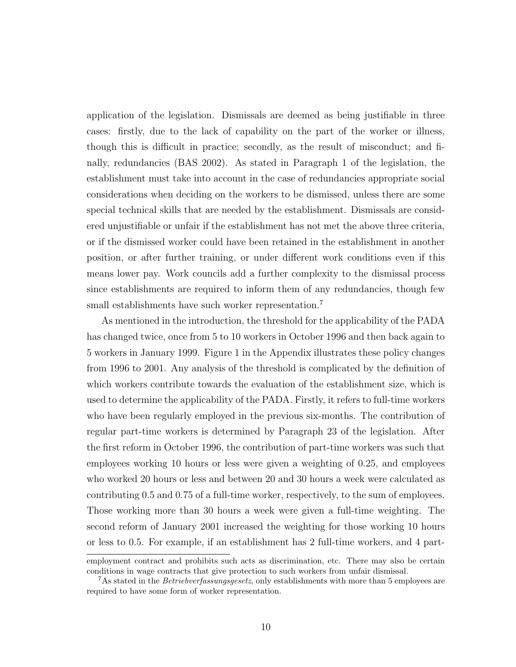application of the legislation. Dismissals are deemed as being justifiable in three cases: firstly, due to the lack of capability on the part of the worker or illness, though this is difficult in practice; secondly, as the result of misconduct; and finally, redundancies (BAS 2002). As stated in Paragraph 1 of the legislation, the establishment must take into account in the case of redundancies appropriate social considerations when deciding on the workers to be dismissed, unless there are some special technical skills that are needed by the establishment. Dismissals are considered unjustifiable or unfair if the establishment has not met the above three criteria, or if the dismissed worker could have been retained in the establishment in another position, or after further training, or under different work conditions even if this means lower pay. Work councils add a further complexity to the dismissal process since establishments are required to inform them of any redundancies, though few small establishments have such worker representation.<sup>7</sup>

As mentioned in the introduction, the threshold for the applicability of the PADA has changed twice, once from 5 to 10 workers in October 1996 and then back again to 5 workers in January 1999. Figure 1 in the Appendix illustrates these policy changes from 1996 to 2001. Any analysis of the threshold is complicated by the definition of which workers contribute towards the evaluation of the establishment size, which is used to determine the applicability of the PADA. Firstly, it refers to full-time workers who have been regularly employed in the previous six-months. The contribution of regular part-time workers is determined by Paragraph 23 of the legislation. After the first reform in October 1996, the contribution of part-time workers was such that employees working 10 hours or less were given a weighting of 0.25, and employees who worked 20 hours or less and between 20 and 30 hours a week were calculated as contributing 0.5 and 0.75 of a full-time worker, respectively, to the sum of employees. Those working more than 30 hours a week were given a full-time weighting. The second reform of January 2001 increased the weighting for those working 10 hours or less to 0.5. For example, if an establishment has 2 full-time workers, and 4 part-

employment contract and prohibits such acts as discrimination, etc. There may also be certain conditions in wage contracts that give protection to such workers from unfair dismissal.

<sup>&</sup>lt;sup>7</sup>As stated in the *Betriebverfassungsgesetz*, only establishments with more than 5 employees are required to have some form of worker representation.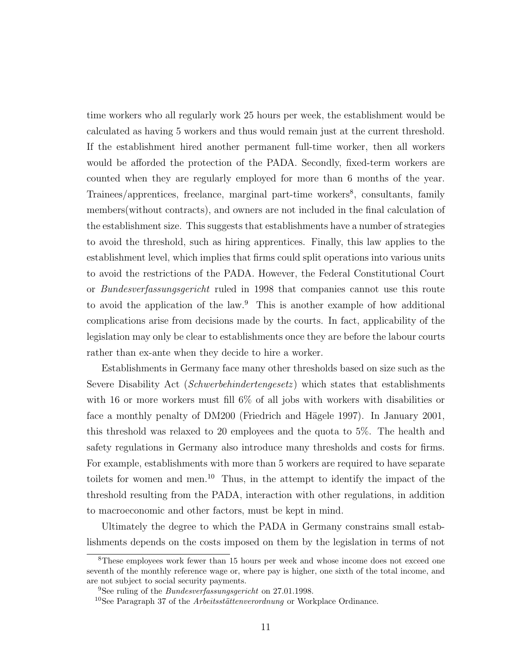time workers who all regularly work 25 hours per week, the establishment would be calculated as having 5 workers and thus would remain just at the current threshold. If the establishment hired another permanent full-time worker, then all workers would be afforded the protection of the PADA. Secondly, fixed-term workers are counted when they are regularly employed for more than 6 months of the year. Trainees/apprentices, freelance, marginal part-time workers<sup>8</sup>, consultants, family members(without contracts), and owners are not included in the final calculation of the establishment size. This suggests that establishments have a number of strategies to avoid the threshold, such as hiring apprentices. Finally, this law applies to the establishment level, which implies that firms could split operations into various units to avoid the restrictions of the PADA. However, the Federal Constitutional Court or Bundesverfassungsgericht ruled in 1998 that companies cannot use this route to avoid the application of the law.<sup>9</sup> This is another example of how additional complications arise from decisions made by the courts. In fact, applicability of the legislation may only be clear to establishments once they are before the labour courts rather than ex-ante when they decide to hire a worker.

Establishments in Germany face many other thresholds based on size such as the Severe Disability Act (*Schwerbehindertengesetz*) which states that establishments with 16 or more workers must fill 6% of all jobs with workers with disabilities or face a monthly penalty of DM200 (Friedrich and Hägele 1997). In January 2001, this threshold was relaxed to 20 employees and the quota to 5%. The health and safety regulations in Germany also introduce many thresholds and costs for firms. For example, establishments with more than 5 workers are required to have separate toilets for women and men.<sup>10</sup> Thus, in the attempt to identify the impact of the threshold resulting from the PADA, interaction with other regulations, in addition to macroeconomic and other factors, must be kept in mind.

Ultimately the degree to which the PADA in Germany constrains small establishments depends on the costs imposed on them by the legislation in terms of not

<sup>8</sup>These employees work fewer than 15 hours per week and whose income does not exceed one seventh of the monthly reference wage or, where pay is higher, one sixth of the total income, and are not subject to social security payments.

<sup>9</sup>See ruling of the Bundesverfassungsgericht on 27.01.1998.

 $10$ See Paragraph 37 of the *Arbeitsstättenverordnung* or Workplace Ordinance.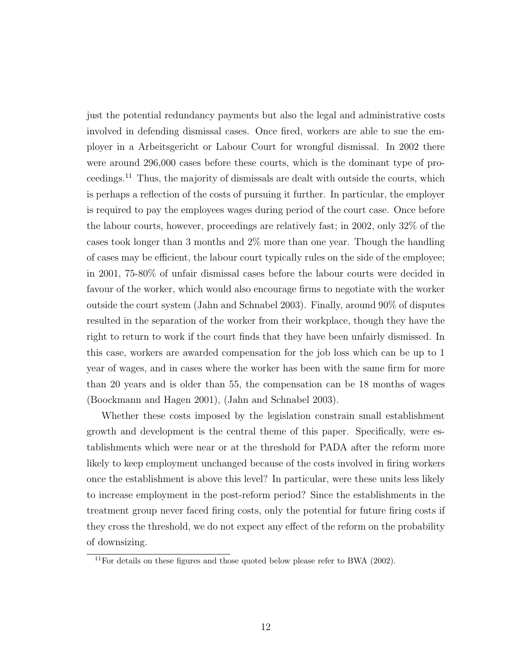just the potential redundancy payments but also the legal and administrative costs involved in defending dismissal cases. Once fired, workers are able to sue the employer in a Arbeitsgericht or Labour Court for wrongful dismissal. In 2002 there were around 296,000 cases before these courts, which is the dominant type of proceedings.<sup>11</sup> Thus, the majority of dismissals are dealt with outside the courts, which is perhaps a reflection of the costs of pursuing it further. In particular, the employer is required to pay the employees wages during period of the court case. Once before the labour courts, however, proceedings are relatively fast; in 2002, only 32% of the cases took longer than 3 months and 2% more than one year. Though the handling of cases may be efficient, the labour court typically rules on the side of the employee; in 2001, 75-80% of unfair dismissal cases before the labour courts were decided in favour of the worker, which would also encourage firms to negotiate with the worker outside the court system (Jahn and Schnabel 2003). Finally, around 90% of disputes resulted in the separation of the worker from their workplace, though they have the right to return to work if the court finds that they have been unfairly dismissed. In this case, workers are awarded compensation for the job loss which can be up to 1 year of wages, and in cases where the worker has been with the same firm for more than 20 years and is older than 55, the compensation can be 18 months of wages (Boockmann and Hagen 2001), (Jahn and Schnabel 2003).

Whether these costs imposed by the legislation constrain small establishment growth and development is the central theme of this paper. Specifically, were establishments which were near or at the threshold for PADA after the reform more likely to keep employment unchanged because of the costs involved in firing workers once the establishment is above this level? In particular, were these units less likely to increase employment in the post-reform period? Since the establishments in the treatment group never faced firing costs, only the potential for future firing costs if they cross the threshold, we do not expect any effect of the reform on the probability of downsizing.

 $11$ For details on these figures and those quoted below please refer to BWA (2002).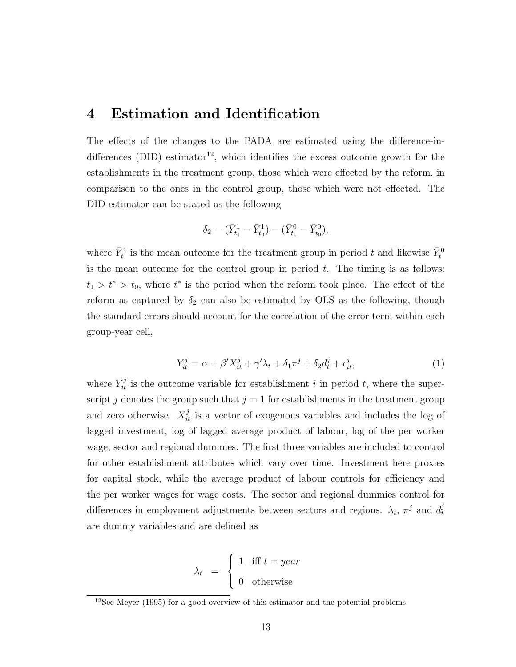#### 4 Estimation and Identification

The effects of the changes to the PADA are estimated using the difference-indifferences (DID) estimator<sup>12</sup>, which identifies the excess outcome growth for the establishments in the treatment group, those which were effected by the reform, in comparison to the ones in the control group, those which were not effected. The DID estimator can be stated as the following

$$
\delta_2 = \big(\bar{Y}^1_{t_1}-\bar{Y}^1_{t_0}\big) - \big(\bar{Y}^0_{t_1}-\bar{Y}^0_{t_0}\big),
$$

where  $\bar{Y}_t^1$  is the mean outcome for the treatment group in period t and likewise  $\bar{Y}_t^0$ is the mean outcome for the control group in period  $t$ . The timing is as follows:  $t_1 > t^* > t_0$ , where  $t^*$  is the period when the reform took place. The effect of the reform as captured by  $\delta_2$  can also be estimated by OLS as the following, though the standard errors should account for the correlation of the error term within each group-year cell,

$$
Y_{it}^j = \alpha + \beta' X_{it}^j + \gamma' \lambda_t + \delta_1 \pi^j + \delta_2 d_t^j + \epsilon_{it}^j,\tag{1}
$$

where  $Y_{it}^{j}$  is the outcome variable for establishment i in period t, where the superscript j denotes the group such that  $j = 1$  for establishments in the treatment group and zero otherwise.  $X_{it}^{j}$  is a vector of exogenous variables and includes the log of lagged investment, log of lagged average product of labour, log of the per worker wage, sector and regional dummies. The first three variables are included to control for other establishment attributes which vary over time. Investment here proxies for capital stock, while the average product of labour controls for efficiency and the per worker wages for wage costs. The sector and regional dummies control for differences in employment adjustments between sectors and regions.  $\lambda_t$ ,  $\pi^j$  and  $d_t^j$ t are dummy variables and are defined as

$$
\lambda_t = \begin{cases} 1 & \text{iff } t = year \\ 0 & \text{otherwise} \end{cases}
$$

<sup>12</sup>See Meyer (1995) for a good overview of this estimator and the potential problems.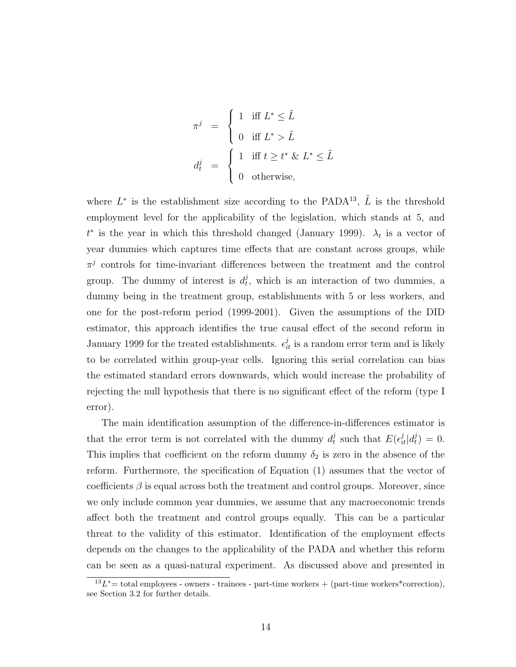$$
\pi^{j} = \begin{cases} 1 & \text{iff } L^{*} \leq \tilde{L} \\ 0 & \text{iff } L^{*} > \tilde{L} \end{cases}
$$

$$
d_{t}^{j} = \begin{cases} 1 & \text{iff } t \geq t^{*} \& L^{*} \leq \tilde{L} \\ 0 & \text{otherwise,} \end{cases}
$$

where  $L^*$  is the establishment size according to the PADA<sup>13</sup>,  $\tilde{L}$  is the threshold employment level for the applicability of the legislation, which stands at 5, and  $t^*$  is the year in which this threshold changed (January 1999).  $\lambda_t$  is a vector of year dummies which captures time effects that are constant across groups, while  $\pi^{j}$  controls for time-invariant differences between the treatment and the control group. The dummy of interest is  $d_t^j$  $t<sub>t</sub>$ , which is an interaction of two dummies, a dummy being in the treatment group, establishments with 5 or less workers, and one for the post-reform period (1999-2001). Given the assumptions of the DID estimator, this approach identifies the true causal effect of the second reform in January 1999 for the treated establishments.  $\epsilon_{it}^j$  is a random error term and is likely to be correlated within group-year cells. Ignoring this serial correlation can bias the estimated standard errors downwards, which would increase the probability of rejecting the null hypothesis that there is no significant effect of the reform (type I error).

The main identification assumption of the difference-in-differences estimator is that the error term is not correlated with the dummy  $d_t^j$  $\frac{d}{dt}$  such that  $E(\epsilon_{it}^j|d_t^j)$  $\binom{J}{t} = 0.$ This implies that coefficient on the reform dummy  $\delta_2$  is zero in the absence of the reform. Furthermore, the specification of Equation (1) assumes that the vector of coefficients  $\beta$  is equal across both the treatment and control groups. Moreover, since we only include common year dummies, we assume that any macroeconomic trends affect both the treatment and control groups equally. This can be a particular threat to the validity of this estimator. Identification of the employment effects depends on the changes to the applicability of the PADA and whether this reform can be seen as a quasi-natural experiment. As discussed above and presented in

 $^{13}L^*$  = total employees - owners - trainees - part-time workers + (part-time workers\*correction), see Section 3.2 for further details.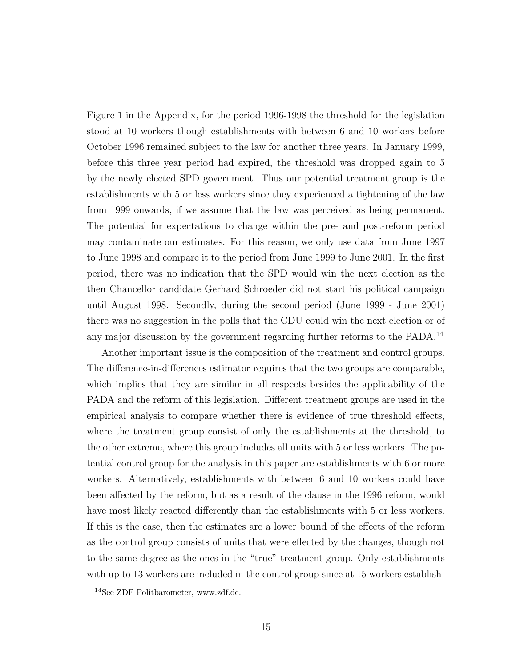Figure 1 in the Appendix, for the period 1996-1998 the threshold for the legislation stood at 10 workers though establishments with between 6 and 10 workers before October 1996 remained subject to the law for another three years. In January 1999, before this three year period had expired, the threshold was dropped again to 5 by the newly elected SPD government. Thus our potential treatment group is the establishments with 5 or less workers since they experienced a tightening of the law from 1999 onwards, if we assume that the law was perceived as being permanent. The potential for expectations to change within the pre- and post-reform period may contaminate our estimates. For this reason, we only use data from June 1997 to June 1998 and compare it to the period from June 1999 to June 2001. In the first period, there was no indication that the SPD would win the next election as the then Chancellor candidate Gerhard Schroeder did not start his political campaign until August 1998. Secondly, during the second period (June 1999 - June 2001) there was no suggestion in the polls that the CDU could win the next election or of any major discussion by the government regarding further reforms to the PADA.<sup>14</sup>

Another important issue is the composition of the treatment and control groups. The difference-in-differences estimator requires that the two groups are comparable, which implies that they are similar in all respects besides the applicability of the PADA and the reform of this legislation. Different treatment groups are used in the empirical analysis to compare whether there is evidence of true threshold effects, where the treatment group consist of only the establishments at the threshold, to the other extreme, where this group includes all units with 5 or less workers. The potential control group for the analysis in this paper are establishments with 6 or more workers. Alternatively, establishments with between 6 and 10 workers could have been affected by the reform, but as a result of the clause in the 1996 reform, would have most likely reacted differently than the establishments with 5 or less workers. If this is the case, then the estimates are a lower bound of the effects of the reform as the control group consists of units that were effected by the changes, though not to the same degree as the ones in the "true" treatment group. Only establishments with up to 13 workers are included in the control group since at 15 workers establish-

<sup>14</sup>See ZDF Politbarometer, www.zdf.de.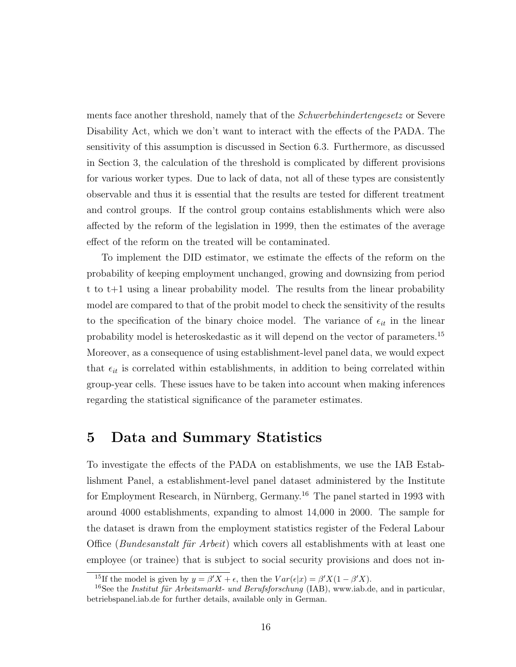ments face another threshold, namely that of the Schwerbehindertengesetz or Severe Disability Act, which we don't want to interact with the effects of the PADA. The sensitivity of this assumption is discussed in Section 6.3. Furthermore, as discussed in Section 3, the calculation of the threshold is complicated by different provisions for various worker types. Due to lack of data, not all of these types are consistently observable and thus it is essential that the results are tested for different treatment and control groups. If the control group contains establishments which were also affected by the reform of the legislation in 1999, then the estimates of the average effect of the reform on the treated will be contaminated.

To implement the DID estimator, we estimate the effects of the reform on the probability of keeping employment unchanged, growing and downsizing from period t to t+1 using a linear probability model. The results from the linear probability model are compared to that of the probit model to check the sensitivity of the results to the specification of the binary choice model. The variance of  $\epsilon_{it}$  in the linear probability model is heteroskedastic as it will depend on the vector of parameters.<sup>15</sup> Moreover, as a consequence of using establishment-level panel data, we would expect that  $\epsilon_{it}$  is correlated within establishments, in addition to being correlated within group-year cells. These issues have to be taken into account when making inferences regarding the statistical significance of the parameter estimates.

#### 5 Data and Summary Statistics

To investigate the effects of the PADA on establishments, we use the IAB Establishment Panel, a establishment-level panel dataset administered by the Institute for Employment Research, in Nürnberg, Germany.<sup>16</sup> The panel started in 1993 with around 4000 establishments, expanding to almost 14,000 in 2000. The sample for the dataset is drawn from the employment statistics register of the Federal Labour Office (Bundesanstalt für Arbeit) which covers all establishments with at least one employee (or trainee) that is subject to social security provisions and does not in-

<sup>&</sup>lt;sup>15</sup>If the model is given by  $y = \beta' X + \epsilon$ , then the  $Var(\epsilon | x) = \beta' X (1 - \beta' X)$ .

<sup>&</sup>lt;sup>16</sup>See the *Institut für Arbeitsmarkt- und Berufsforschung* (IAB), www.iab.de, and in particular, betriebspanel.iab.de for further details, available only in German.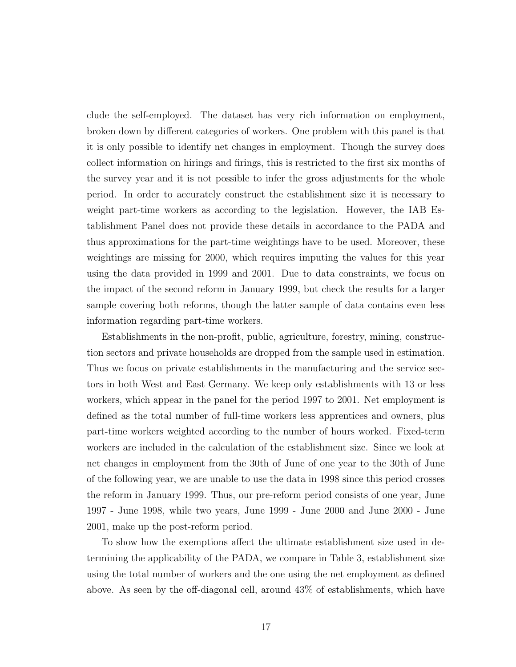clude the self-employed. The dataset has very rich information on employment, broken down by different categories of workers. One problem with this panel is that it is only possible to identify net changes in employment. Though the survey does collect information on hirings and firings, this is restricted to the first six months of the survey year and it is not possible to infer the gross adjustments for the whole period. In order to accurately construct the establishment size it is necessary to weight part-time workers as according to the legislation. However, the IAB Establishment Panel does not provide these details in accordance to the PADA and thus approximations for the part-time weightings have to be used. Moreover, these weightings are missing for 2000, which requires imputing the values for this year using the data provided in 1999 and 2001. Due to data constraints, we focus on the impact of the second reform in January 1999, but check the results for a larger sample covering both reforms, though the latter sample of data contains even less information regarding part-time workers.

Establishments in the non-profit, public, agriculture, forestry, mining, construction sectors and private households are dropped from the sample used in estimation. Thus we focus on private establishments in the manufacturing and the service sectors in both West and East Germany. We keep only establishments with 13 or less workers, which appear in the panel for the period 1997 to 2001. Net employment is defined as the total number of full-time workers less apprentices and owners, plus part-time workers weighted according to the number of hours worked. Fixed-term workers are included in the calculation of the establishment size. Since we look at net changes in employment from the 30th of June of one year to the 30th of June of the following year, we are unable to use the data in 1998 since this period crosses the reform in January 1999. Thus, our pre-reform period consists of one year, June 1997 - June 1998, while two years, June 1999 - June 2000 and June 2000 - June 2001, make up the post-reform period.

To show how the exemptions affect the ultimate establishment size used in determining the applicability of the PADA, we compare in Table 3, establishment size using the total number of workers and the one using the net employment as defined above. As seen by the off-diagonal cell, around 43% of establishments, which have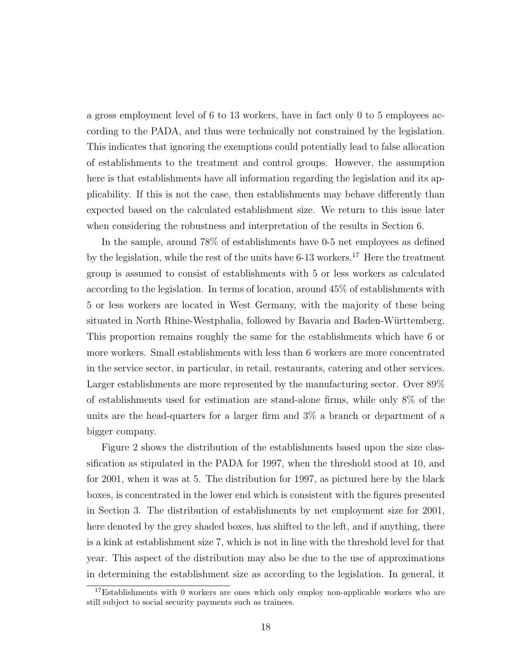a gross employment level of 6 to 13 workers, have in fact only 0 to 5 employees according to the PADA, and thus were technically not constrained by the legislation. This indicates that ignoring the exemptions could potentially lead to false allocation of establishments to the treatment and control groups. However, the assumption here is that establishments have all information regarding the legislation and its applicability. If this is not the case, then establishments may behave differently than expected based on the calculated establishment size. We return to this issue later when considering the robustness and interpretation of the results in Section 6.

In the sample, around 78% of establishments have 0-5 net employees as defined by the legislation, while the rest of the units have 6-13 workers.<sup>17</sup> Here the treatment group is assumed to consist of establishments with 5 or less workers as calculated according to the legislation. In terms of location, around 45% of establishments with 5 or less workers are located in West Germany, with the majority of these being situated in North Rhine-Westphalia, followed by Bavaria and Baden-Württemberg. This proportion remains roughly the same for the establishments which have 6 or more workers. Small establishments with less than 6 workers are more concentrated in the service sector, in particular, in retail, restaurants, catering and other services. Larger establishments are more represented by the manufacturing sector. Over 89% of establishments used for estimation are stand-alone firms, while only 8% of the units are the head-quarters for a larger firm and 3% a branch or department of a bigger company.

Figure 2 shows the distribution of the establishments based upon the size classification as stipulated in the PADA for 1997, when the threshold stood at 10, and for 2001, when it was at 5. The distribution for 1997, as pictured here by the black boxes, is concentrated in the lower end which is consistent with the figures presented in Section 3. The distribution of establishments by net employment size for 2001, here denoted by the grey shaded boxes, has shifted to the left, and if anything, there is a kink at establishment size 7, which is not in line with the threshold level for that year. This aspect of the distribution may also be due to the use of approximations in determining the establishment size as according to the legislation. In general, it

<sup>&</sup>lt;sup>17</sup>Establishments with 0 workers are ones which only employ non-applicable workers who are still subject to social security payments such as trainees.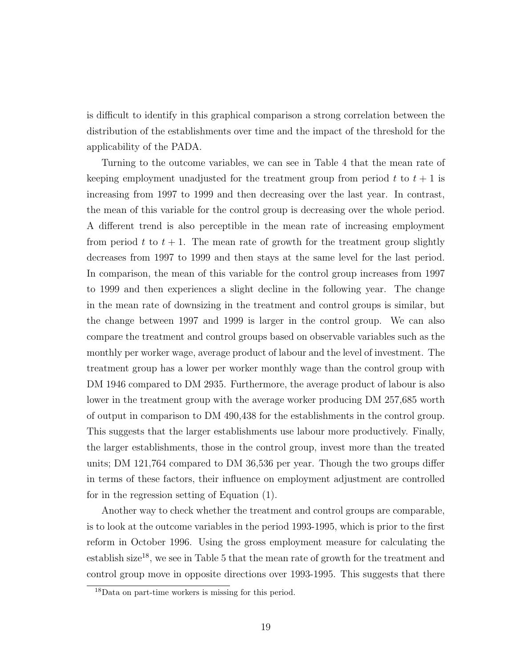is difficult to identify in this graphical comparison a strong correlation between the distribution of the establishments over time and the impact of the threshold for the applicability of the PADA.

Turning to the outcome variables, we can see in Table 4 that the mean rate of keeping employment unadjusted for the treatment group from period t to  $t + 1$  is increasing from 1997 to 1999 and then decreasing over the last year. In contrast, the mean of this variable for the control group is decreasing over the whole period. A different trend is also perceptible in the mean rate of increasing employment from period t to  $t + 1$ . The mean rate of growth for the treatment group slightly decreases from 1997 to 1999 and then stays at the same level for the last period. In comparison, the mean of this variable for the control group increases from 1997 to 1999 and then experiences a slight decline in the following year. The change in the mean rate of downsizing in the treatment and control groups is similar, but the change between 1997 and 1999 is larger in the control group. We can also compare the treatment and control groups based on observable variables such as the monthly per worker wage, average product of labour and the level of investment. The treatment group has a lower per worker monthly wage than the control group with DM 1946 compared to DM 2935. Furthermore, the average product of labour is also lower in the treatment group with the average worker producing DM 257,685 worth of output in comparison to DM 490,438 for the establishments in the control group. This suggests that the larger establishments use labour more productively. Finally, the larger establishments, those in the control group, invest more than the treated units; DM 121,764 compared to DM 36,536 per year. Though the two groups differ in terms of these factors, their influence on employment adjustment are controlled for in the regression setting of Equation (1).

Another way to check whether the treatment and control groups are comparable, is to look at the outcome variables in the period 1993-1995, which is prior to the first reform in October 1996. Using the gross employment measure for calculating the establish size<sup>18</sup>, we see in Table 5 that the mean rate of growth for the treatment and control group move in opposite directions over 1993-1995. This suggests that there

<sup>18</sup>Data on part-time workers is missing for this period.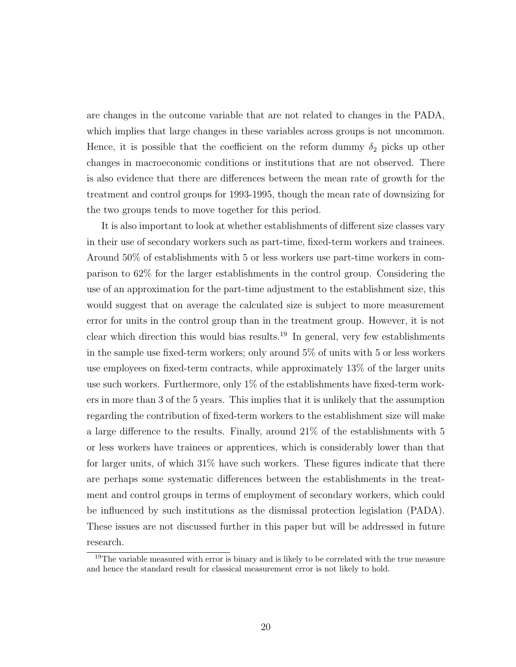are changes in the outcome variable that are not related to changes in the PADA, which implies that large changes in these variables across groups is not uncommon. Hence, it is possible that the coefficient on the reform dummy  $\delta_2$  picks up other changes in macroeconomic conditions or institutions that are not observed. There is also evidence that there are differences between the mean rate of growth for the treatment and control groups for 1993-1995, though the mean rate of downsizing for the two groups tends to move together for this period.

It is also important to look at whether establishments of different size classes vary in their use of secondary workers such as part-time, fixed-term workers and trainees. Around 50% of establishments with 5 or less workers use part-time workers in comparison to 62% for the larger establishments in the control group. Considering the use of an approximation for the part-time adjustment to the establishment size, this would suggest that on average the calculated size is subject to more measurement error for units in the control group than in the treatment group. However, it is not clear which direction this would bias results.<sup>19</sup> In general, very few establishments in the sample use fixed-term workers; only around 5% of units with 5 or less workers use employees on fixed-term contracts, while approximately 13% of the larger units use such workers. Furthermore, only 1% of the establishments have fixed-term workers in more than 3 of the 5 years. This implies that it is unlikely that the assumption regarding the contribution of fixed-term workers to the establishment size will make a large difference to the results. Finally, around 21% of the establishments with 5 or less workers have trainees or apprentices, which is considerably lower than that for larger units, of which 31% have such workers. These figures indicate that there are perhaps some systematic differences between the establishments in the treatment and control groups in terms of employment of secondary workers, which could be influenced by such institutions as the dismissal protection legislation (PADA). These issues are not discussed further in this paper but will be addressed in future research.

<sup>&</sup>lt;sup>19</sup>The variable measured with error is binary and is likely to be correlated with the true measure and hence the standard result for classical measurement error is not likely to hold.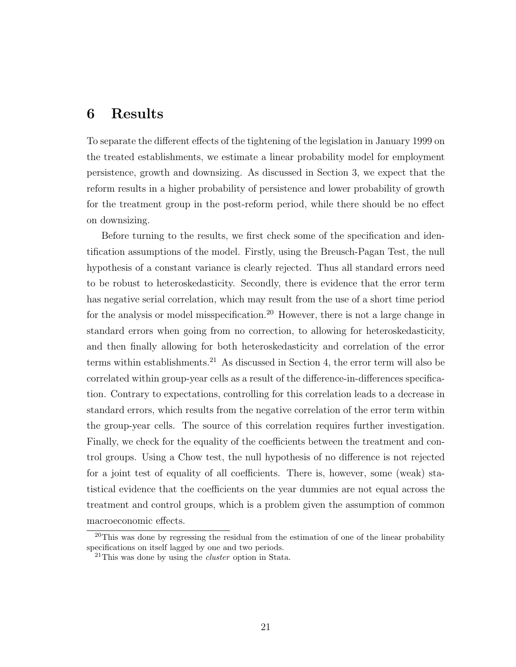#### 6 Results

To separate the different effects of the tightening of the legislation in January 1999 on the treated establishments, we estimate a linear probability model for employment persistence, growth and downsizing. As discussed in Section 3, we expect that the reform results in a higher probability of persistence and lower probability of growth for the treatment group in the post-reform period, while there should be no effect on downsizing.

Before turning to the results, we first check some of the specification and identification assumptions of the model. Firstly, using the Breusch-Pagan Test, the null hypothesis of a constant variance is clearly rejected. Thus all standard errors need to be robust to heteroskedasticity. Secondly, there is evidence that the error term has negative serial correlation, which may result from the use of a short time period for the analysis or model misspecification.<sup>20</sup> However, there is not a large change in standard errors when going from no correction, to allowing for heteroskedasticity, and then finally allowing for both heteroskedasticity and correlation of the error terms within establishments.<sup>21</sup> As discussed in Section 4, the error term will also be correlated within group-year cells as a result of the difference-in-differences specification. Contrary to expectations, controlling for this correlation leads to a decrease in standard errors, which results from the negative correlation of the error term within the group-year cells. The source of this correlation requires further investigation. Finally, we check for the equality of the coefficients between the treatment and control groups. Using a Chow test, the null hypothesis of no difference is not rejected for a joint test of equality of all coefficients. There is, however, some (weak) statistical evidence that the coefficients on the year dummies are not equal across the treatment and control groups, which is a problem given the assumption of common macroeconomic effects.

 $20$ This was done by regressing the residual from the estimation of one of the linear probability specifications on itself lagged by one and two periods.

 $21$ This was done by using the *cluster* option in Stata.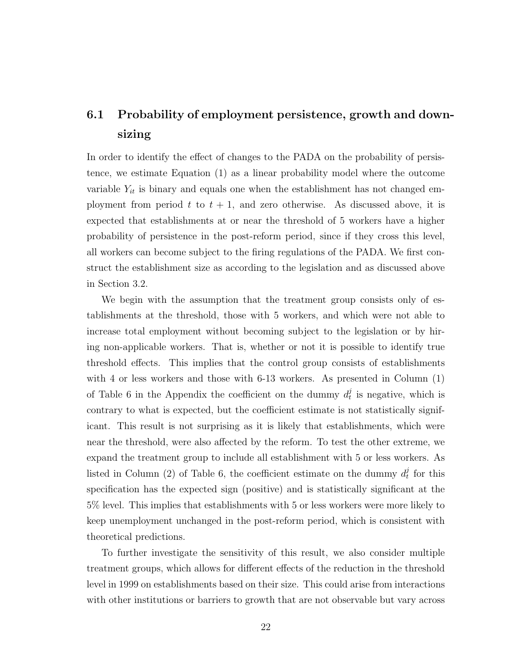#### 6.1 Probability of employment persistence, growth and downsizing

In order to identify the effect of changes to the PADA on the probability of persistence, we estimate Equation (1) as a linear probability model where the outcome variable  $Y_{it}$  is binary and equals one when the establishment has not changed employment from period  $t$  to  $t + 1$ , and zero otherwise. As discussed above, it is expected that establishments at or near the threshold of 5 workers have a higher probability of persistence in the post-reform period, since if they cross this level, all workers can become subject to the firing regulations of the PADA. We first construct the establishment size as according to the legislation and as discussed above in Section 3.2.

We begin with the assumption that the treatment group consists only of establishments at the threshold, those with 5 workers, and which were not able to increase total employment without becoming subject to the legislation or by hiring non-applicable workers. That is, whether or not it is possible to identify true threshold effects. This implies that the control group consists of establishments with 4 or less workers and those with 6-13 workers. As presented in Column (1) of Table 6 in the Appendix the coefficient on the dummy  $d_t^j$  $t<sub>t</sub><sup>j</sup>$  is negative, which is contrary to what is expected, but the coefficient estimate is not statistically significant. This result is not surprising as it is likely that establishments, which were near the threshold, were also affected by the reform. To test the other extreme, we expand the treatment group to include all establishment with 5 or less workers. As listed in Column (2) of Table 6, the coefficient estimate on the dummy  $d_t^j$  $t$ <sup>t</sup> for this specification has the expected sign (positive) and is statistically significant at the 5% level. This implies that establishments with 5 or less workers were more likely to keep unemployment unchanged in the post-reform period, which is consistent with theoretical predictions.

To further investigate the sensitivity of this result, we also consider multiple treatment groups, which allows for different effects of the reduction in the threshold level in 1999 on establishments based on their size. This could arise from interactions with other institutions or barriers to growth that are not observable but vary across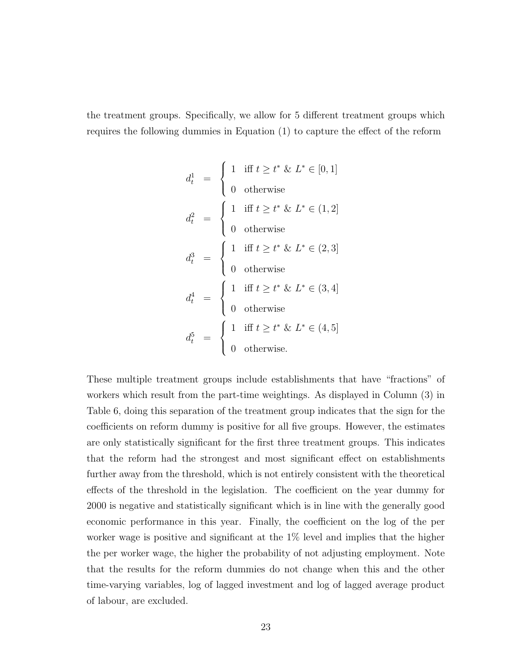the treatment groups. Specifically, we allow for 5 different treatment groups which requires the following dummies in Equation (1) to capture the effect of the reform

$$
d_t^1 = \begin{cases} 1 & \text{iff } t \ge t^* \& L^* \in [0, 1] \\ 0 & \text{otherwise} \end{cases}
$$
  
\n
$$
d_t^2 = \begin{cases} 1 & \text{iff } t \ge t^* \& L^* \in (1, 2] \\ 0 & \text{otherwise} \end{cases}
$$
  
\n
$$
d_t^3 = \begin{cases} 1 & \text{iff } t \ge t^* \& L^* \in (2, 3] \\ 0 & \text{otherwise} \end{cases}
$$
  
\n
$$
d_t^4 = \begin{cases} 1 & \text{iff } t \ge t^* \& L^* \in (3, 4] \\ 0 & \text{otherwise} \end{cases}
$$
  
\n
$$
d_t^5 = \begin{cases} 1 & \text{iff } t \ge t^* \& L^* \in (4, 5] \\ 0 & \text{otherwise} \end{cases}
$$

These multiple treatment groups include establishments that have "fractions" of workers which result from the part-time weightings. As displayed in Column (3) in Table 6, doing this separation of the treatment group indicates that the sign for the coefficients on reform dummy is positive for all five groups. However, the estimates are only statistically significant for the first three treatment groups. This indicates that the reform had the strongest and most significant effect on establishments further away from the threshold, which is not entirely consistent with the theoretical effects of the threshold in the legislation. The coefficient on the year dummy for 2000 is negative and statistically significant which is in line with the generally good economic performance in this year. Finally, the coefficient on the log of the per worker wage is positive and significant at the 1% level and implies that the higher the per worker wage, the higher the probability of not adjusting employment. Note that the results for the reform dummies do not change when this and the other time-varying variables, log of lagged investment and log of lagged average product of labour, are excluded.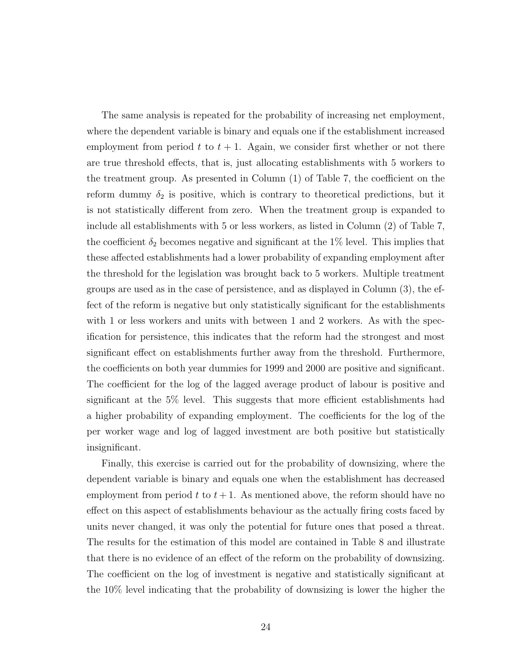The same analysis is repeated for the probability of increasing net employment, where the dependent variable is binary and equals one if the establishment increased employment from period t to  $t + 1$ . Again, we consider first whether or not there are true threshold effects, that is, just allocating establishments with 5 workers to the treatment group. As presented in Column (1) of Table 7, the coefficient on the reform dummy  $\delta_2$  is positive, which is contrary to theoretical predictions, but it is not statistically different from zero. When the treatment group is expanded to include all establishments with 5 or less workers, as listed in Column (2) of Table 7, the coefficient  $\delta_2$  becomes negative and significant at the 1% level. This implies that these affected establishments had a lower probability of expanding employment after the threshold for the legislation was brought back to 5 workers. Multiple treatment groups are used as in the case of persistence, and as displayed in Column (3), the effect of the reform is negative but only statistically significant for the establishments with 1 or less workers and units with between 1 and 2 workers. As with the specification for persistence, this indicates that the reform had the strongest and most significant effect on establishments further away from the threshold. Furthermore, the coefficients on both year dummies for 1999 and 2000 are positive and significant. The coefficient for the log of the lagged average product of labour is positive and significant at the 5% level. This suggests that more efficient establishments had a higher probability of expanding employment. The coefficients for the log of the per worker wage and log of lagged investment are both positive but statistically insignificant.

Finally, this exercise is carried out for the probability of downsizing, where the dependent variable is binary and equals one when the establishment has decreased employment from period t to  $t + 1$ . As mentioned above, the reform should have no effect on this aspect of establishments behaviour as the actually firing costs faced by units never changed, it was only the potential for future ones that posed a threat. The results for the estimation of this model are contained in Table 8 and illustrate that there is no evidence of an effect of the reform on the probability of downsizing. The coefficient on the log of investment is negative and statistically significant at the 10% level indicating that the probability of downsizing is lower the higher the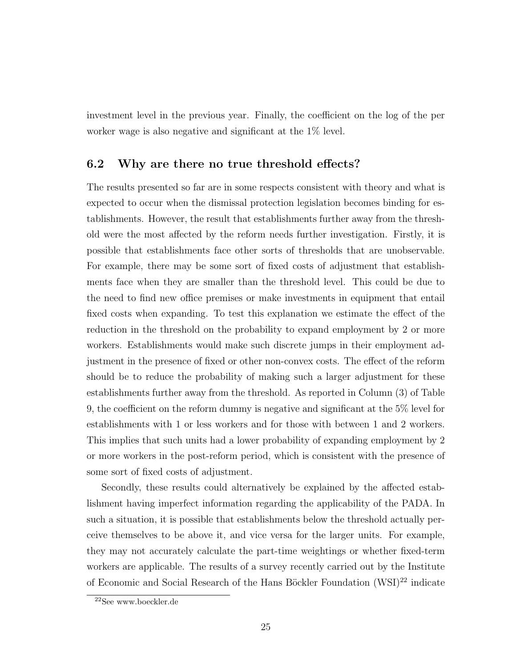investment level in the previous year. Finally, the coefficient on the log of the per worker wage is also negative and significant at the 1% level.

#### 6.2 Why are there no true threshold effects?

The results presented so far are in some respects consistent with theory and what is expected to occur when the dismissal protection legislation becomes binding for establishments. However, the result that establishments further away from the threshold were the most affected by the reform needs further investigation. Firstly, it is possible that establishments face other sorts of thresholds that are unobservable. For example, there may be some sort of fixed costs of adjustment that establishments face when they are smaller than the threshold level. This could be due to the need to find new office premises or make investments in equipment that entail fixed costs when expanding. To test this explanation we estimate the effect of the reduction in the threshold on the probability to expand employment by 2 or more workers. Establishments would make such discrete jumps in their employment adjustment in the presence of fixed or other non-convex costs. The effect of the reform should be to reduce the probability of making such a larger adjustment for these establishments further away from the threshold. As reported in Column (3) of Table 9, the coefficient on the reform dummy is negative and significant at the 5% level for establishments with 1 or less workers and for those with between 1 and 2 workers. This implies that such units had a lower probability of expanding employment by 2 or more workers in the post-reform period, which is consistent with the presence of some sort of fixed costs of adjustment.

Secondly, these results could alternatively be explained by the affected establishment having imperfect information regarding the applicability of the PADA. In such a situation, it is possible that establishments below the threshold actually perceive themselves to be above it, and vice versa for the larger units. For example, they may not accurately calculate the part-time weightings or whether fixed-term workers are applicable. The results of a survey recently carried out by the Institute of Economic and Social Research of the Hans Böckler Foundation  $(WSI)^{22}$  indicate

<sup>22</sup>See www.boeckler.de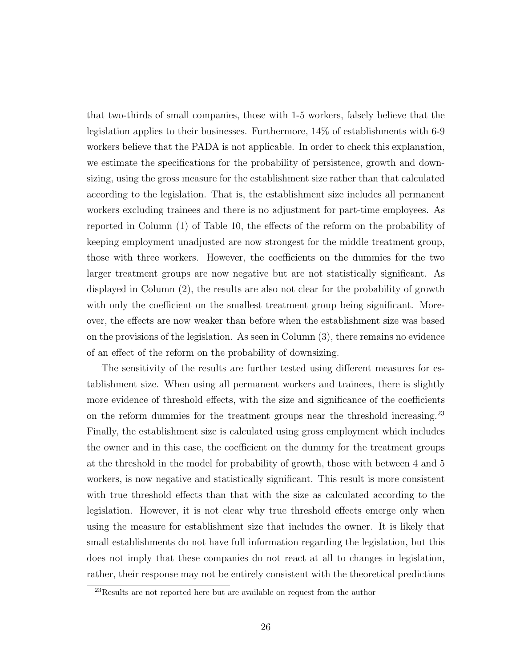that two-thirds of small companies, those with 1-5 workers, falsely believe that the legislation applies to their businesses. Furthermore, 14% of establishments with 6-9 workers believe that the PADA is not applicable. In order to check this explanation, we estimate the specifications for the probability of persistence, growth and downsizing, using the gross measure for the establishment size rather than that calculated according to the legislation. That is, the establishment size includes all permanent workers excluding trainees and there is no adjustment for part-time employees. As reported in Column (1) of Table 10, the effects of the reform on the probability of keeping employment unadjusted are now strongest for the middle treatment group, those with three workers. However, the coefficients on the dummies for the two larger treatment groups are now negative but are not statistically significant. As displayed in Column (2), the results are also not clear for the probability of growth with only the coefficient on the smallest treatment group being significant. Moreover, the effects are now weaker than before when the establishment size was based on the provisions of the legislation. As seen in Column (3), there remains no evidence of an effect of the reform on the probability of downsizing.

The sensitivity of the results are further tested using different measures for establishment size. When using all permanent workers and trainees, there is slightly more evidence of threshold effects, with the size and significance of the coefficients on the reform dummies for the treatment groups near the threshold increasing.<sup>23</sup> Finally, the establishment size is calculated using gross employment which includes the owner and in this case, the coefficient on the dummy for the treatment groups at the threshold in the model for probability of growth, those with between 4 and 5 workers, is now negative and statistically significant. This result is more consistent with true threshold effects than that with the size as calculated according to the legislation. However, it is not clear why true threshold effects emerge only when using the measure for establishment size that includes the owner. It is likely that small establishments do not have full information regarding the legislation, but this does not imply that these companies do not react at all to changes in legislation, rather, their response may not be entirely consistent with the theoretical predictions

<sup>23</sup>Results are not reported here but are available on request from the author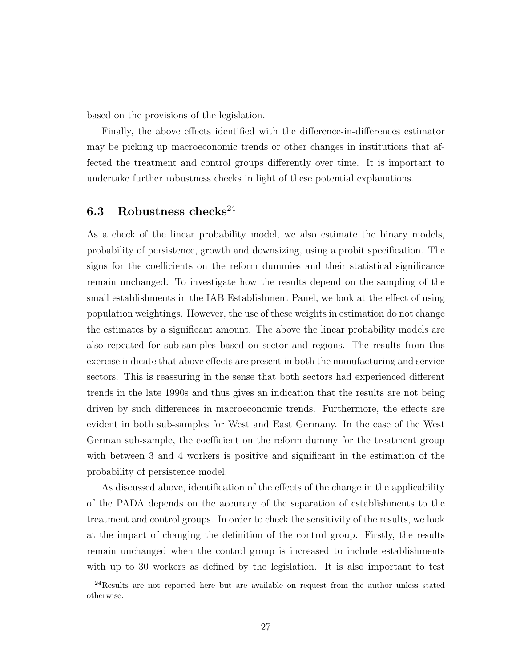based on the provisions of the legislation.

Finally, the above effects identified with the difference-in-differences estimator may be picking up macroeconomic trends or other changes in institutions that affected the treatment and control groups differently over time. It is important to undertake further robustness checks in light of these potential explanations.

#### 6.3 Robustness checks<sup>24</sup>

As a check of the linear probability model, we also estimate the binary models, probability of persistence, growth and downsizing, using a probit specification. The signs for the coefficients on the reform dummies and their statistical significance remain unchanged. To investigate how the results depend on the sampling of the small establishments in the IAB Establishment Panel, we look at the effect of using population weightings. However, the use of these weights in estimation do not change the estimates by a significant amount. The above the linear probability models are also repeated for sub-samples based on sector and regions. The results from this exercise indicate that above effects are present in both the manufacturing and service sectors. This is reassuring in the sense that both sectors had experienced different trends in the late 1990s and thus gives an indication that the results are not being driven by such differences in macroeconomic trends. Furthermore, the effects are evident in both sub-samples for West and East Germany. In the case of the West German sub-sample, the coefficient on the reform dummy for the treatment group with between 3 and 4 workers is positive and significant in the estimation of the probability of persistence model.

As discussed above, identification of the effects of the change in the applicability of the PADA depends on the accuracy of the separation of establishments to the treatment and control groups. In order to check the sensitivity of the results, we look at the impact of changing the definition of the control group. Firstly, the results remain unchanged when the control group is increased to include establishments with up to 30 workers as defined by the legislation. It is also important to test

 $^{24}$ Results are not reported here but are available on request from the author unless stated otherwise.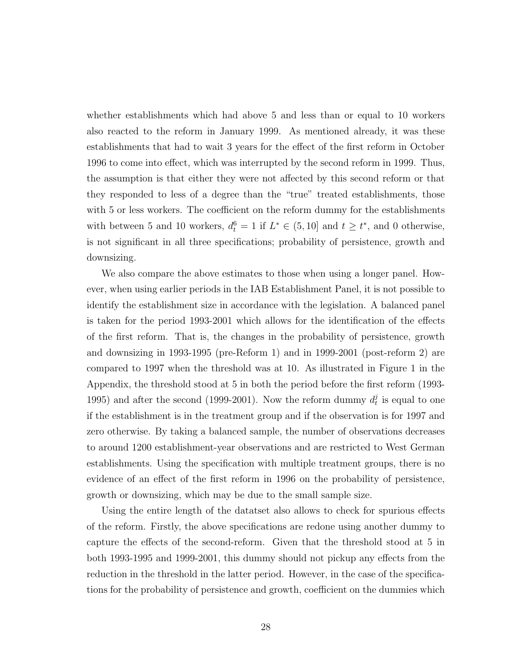whether establishments which had above 5 and less than or equal to 10 workers also reacted to the reform in January 1999. As mentioned already, it was these establishments that had to wait 3 years for the effect of the first reform in October 1996 to come into effect, which was interrupted by the second reform in 1999. Thus, the assumption is that either they were not affected by this second reform or that they responded to less of a degree than the "true" treated establishments, those with 5 or less workers. The coefficient on the reform dummy for the establishments with between 5 and 10 workers,  $d_t^6 = 1$  if  $L^* \in (5, 10]$  and  $t \geq t^*$ , and 0 otherwise, is not significant in all three specifications; probability of persistence, growth and downsizing.

We also compare the above estimates to those when using a longer panel. However, when using earlier periods in the IAB Establishment Panel, it is not possible to identify the establishment size in accordance with the legislation. A balanced panel is taken for the period 1993-2001 which allows for the identification of the effects of the first reform. That is, the changes in the probability of persistence, growth and downsizing in 1993-1995 (pre-Reform 1) and in 1999-2001 (post-reform 2) are compared to 1997 when the threshold was at 10. As illustrated in Figure 1 in the Appendix, the threshold stood at 5 in both the period before the first reform (1993- 1995) and after the second (1999-2001). Now the reform dummy  $d_t^j$  $t$ <sup>l</sup> is equal to one if the establishment is in the treatment group and if the observation is for 1997 and zero otherwise. By taking a balanced sample, the number of observations decreases to around 1200 establishment-year observations and are restricted to West German establishments. Using the specification with multiple treatment groups, there is no evidence of an effect of the first reform in 1996 on the probability of persistence, growth or downsizing, which may be due to the small sample size.

Using the entire length of the datatset also allows to check for spurious effects of the reform. Firstly, the above specifications are redone using another dummy to capture the effects of the second-reform. Given that the threshold stood at 5 in both 1993-1995 and 1999-2001, this dummy should not pickup any effects from the reduction in the threshold in the latter period. However, in the case of the specifications for the probability of persistence and growth, coefficient on the dummies which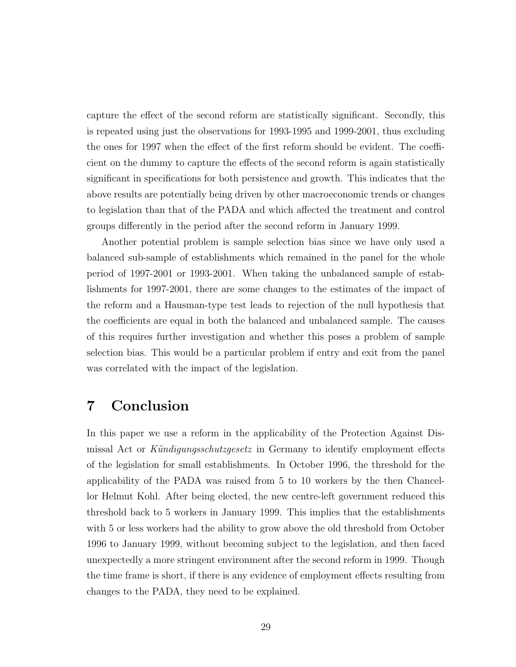capture the effect of the second reform are statistically significant. Secondly, this is repeated using just the observations for 1993-1995 and 1999-2001, thus excluding the ones for 1997 when the effect of the first reform should be evident. The coefficient on the dummy to capture the effects of the second reform is again statistically significant in specifications for both persistence and growth. This indicates that the above results are potentially being driven by other macroeconomic trends or changes to legislation than that of the PADA and which affected the treatment and control groups differently in the period after the second reform in January 1999.

Another potential problem is sample selection bias since we have only used a balanced sub-sample of establishments which remained in the panel for the whole period of 1997-2001 or 1993-2001. When taking the unbalanced sample of establishments for 1997-2001, there are some changes to the estimates of the impact of the reform and a Hausman-type test leads to rejection of the null hypothesis that the coefficients are equal in both the balanced and unbalanced sample. The causes of this requires further investigation and whether this poses a problem of sample selection bias. This would be a particular problem if entry and exit from the panel was correlated with the impact of the legislation.

#### 7 Conclusion

In this paper we use a reform in the applicability of the Protection Against Dismissal Act or Kündigungsschutzgesetz in Germany to identify employment effects of the legislation for small establishments. In October 1996, the threshold for the applicability of the PADA was raised from 5 to 10 workers by the then Chancellor Helmut Kohl. After being elected, the new centre-left government reduced this threshold back to 5 workers in January 1999. This implies that the establishments with 5 or less workers had the ability to grow above the old threshold from October 1996 to January 1999, without becoming subject to the legislation, and then faced unexpectedly a more stringent environment after the second reform in 1999. Though the time frame is short, if there is any evidence of employment effects resulting from changes to the PADA, they need to be explained.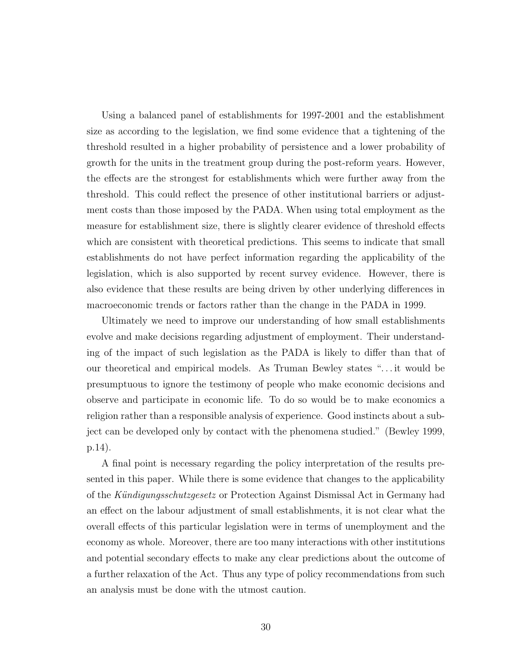Using a balanced panel of establishments for 1997-2001 and the establishment size as according to the legislation, we find some evidence that a tightening of the threshold resulted in a higher probability of persistence and a lower probability of growth for the units in the treatment group during the post-reform years. However, the effects are the strongest for establishments which were further away from the threshold. This could reflect the presence of other institutional barriers or adjustment costs than those imposed by the PADA. When using total employment as the measure for establishment size, there is slightly clearer evidence of threshold effects which are consistent with theoretical predictions. This seems to indicate that small establishments do not have perfect information regarding the applicability of the legislation, which is also supported by recent survey evidence. However, there is also evidence that these results are being driven by other underlying differences in macroeconomic trends or factors rather than the change in the PADA in 1999.

Ultimately we need to improve our understanding of how small establishments evolve and make decisions regarding adjustment of employment. Their understanding of the impact of such legislation as the PADA is likely to differ than that of our theoretical and empirical models. As Truman Bewley states ". . . it would be presumptuous to ignore the testimony of people who make economic decisions and observe and participate in economic life. To do so would be to make economics a religion rather than a responsible analysis of experience. Good instincts about a subject can be developed only by contact with the phenomena studied." (Bewley 1999, p.14).

A final point is necessary regarding the policy interpretation of the results presented in this paper. While there is some evidence that changes to the applicability of the Kündigungsschutzgesetz or Protection Against Dismissal Act in Germany had an effect on the labour adjustment of small establishments, it is not clear what the overall effects of this particular legislation were in terms of unemployment and the economy as whole. Moreover, there are too many interactions with other institutions and potential secondary effects to make any clear predictions about the outcome of a further relaxation of the Act. Thus any type of policy recommendations from such an analysis must be done with the utmost caution.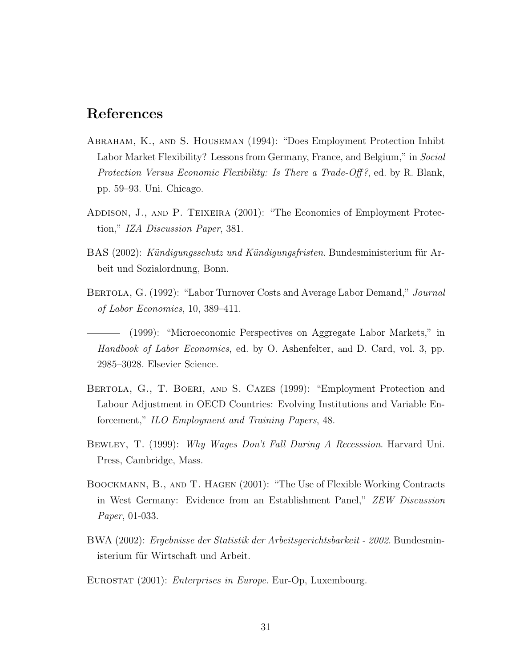#### References

- Abraham, K., and S. Houseman (1994): "Does Employment Protection Inhibt Labor Market Flexibility? Lessons from Germany, France, and Belgium," in Social Protection Versus Economic Flexibility: Is There a Trade-Off?, ed. by R. Blank, pp. 59–93. Uni. Chicago.
- ADDISON, J., AND P. TEIXEIRA (2001): "The Economics of Employment Protection," IZA Discussion Paper, 381.
- BAS (2002): Kündigungsschutz und Kündigungsfristen. Bundesministerium für Arbeit und Sozialordnung, Bonn.
- BERTOLA, G. (1992): "Labor Turnover Costs and Average Labor Demand," Journal of Labor Economics, 10, 389–411.
- (1999): "Microeconomic Perspectives on Aggregate Labor Markets," in Handbook of Labor Economics, ed. by O. Ashenfelter, and D. Card, vol. 3, pp. 2985–3028. Elsevier Science.
- BERTOLA, G., T. BOERI, AND S. CAZES (1999): "Employment Protection and Labour Adjustment in OECD Countries: Evolving Institutions and Variable Enforcement," ILO Employment and Training Papers, 48.
- BEWLEY, T. (1999): Why Wages Don't Fall During A Recesssion. Harvard Uni. Press, Cambridge, Mass.
- Boockmann, B., and T. Hagen (2001): "The Use of Flexible Working Contracts in West Germany: Evidence from an Establishment Panel," ZEW Discussion Paper, 01-033.
- BWA (2002): Ergebnisse der Statistik der Arbeitsgerichtsbarkeit 2002. Bundesministerium für Wirtschaft und Arbeit.

EUROSTAT (2001): *Enterprises in Europe*. Eur-Op, Luxembourg.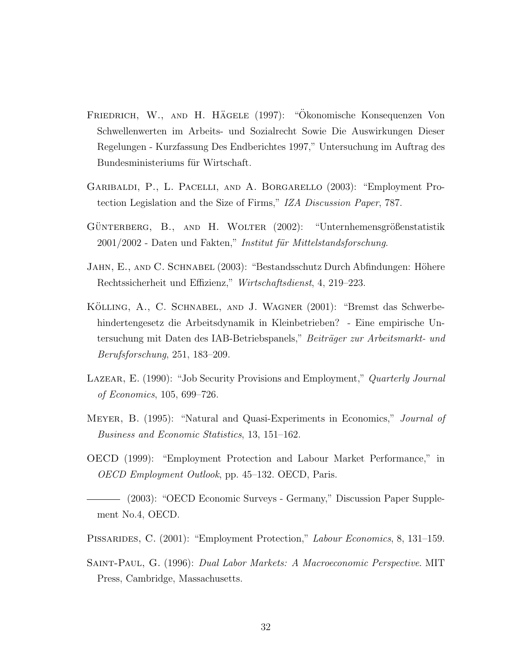- FRIEDRICH, W., AND H. HÄGELE (1997): "Ökonomische Konsequenzen Von Schwellenwerten im Arbeits- und Sozialrecht Sowie Die Auswirkungen Dieser Regelungen - Kurzfassung Des Endberichtes 1997," Untersuchung im Auftrag des Bundesministeriums für Wirtschaft.
- Garibaldi, P., L. Pacelli, and A. Borgarello (2003): "Employment Protection Legislation and the Size of Firms," IZA Discussion Paper, 787.
- GÜNTERBERG, B., AND H. WOLTER (2002): "Unternhemensgrößenstatistik 2001/2002 - Daten und Fakten," Institut für Mittelstandsforschung.
- JAHN, E., AND C. SCHNABEL (2003): "Bestandsschutz Durch Abfindungen: Höhere Rechtssicherheit und Effizienz," Wirtschaftsdienst, 4, 219–223.
- KÖLLING, A., C. SCHNABEL, AND J. WAGNER (2001): "Bremst das Schwerbehindertengesetz die Arbeitsdynamik in Kleinbetrieben? - Eine empirische Untersuchung mit Daten des IAB-Betriebspanels," Beiträger zur Arbeitsmarkt- und Berufsforschung, 251, 183–209.
- LAZEAR, E. (1990): "Job Security Provisions and Employment," Quarterly Journal of Economics, 105, 699–726.
- MEYER, B. (1995): "Natural and Quasi-Experiments in Economics," *Journal of* Business and Economic Statistics, 13, 151–162.
- OECD (1999): "Employment Protection and Labour Market Performance," in OECD Employment Outlook, pp. 45–132. OECD, Paris.
- (2003): "OECD Economic Surveys Germany," Discussion Paper Supplement No.4, OECD.
- PISSARIDES, C. (2001): "Employment Protection," Labour Economics, 8, 131–159.
- Saint-Paul, G. (1996): Dual Labor Markets: A Macroeconomic Perspective. MIT Press, Cambridge, Massachusetts.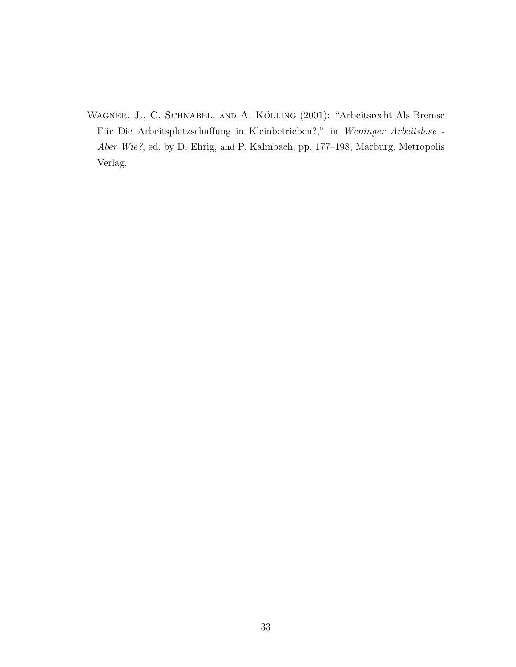WAGNER, J., C. SCHNABEL, AND A. KÖLLING (2001): "Arbeitsrecht Als Bremse Für Die Arbeitsplatzschaffung in Kleinbetrieben?," in Weninger Arbeitslose -Aber Wie?, ed. by D. Ehrig, and P. Kalmbach, pp. 177–198, Marburg. Metropolis Verlag.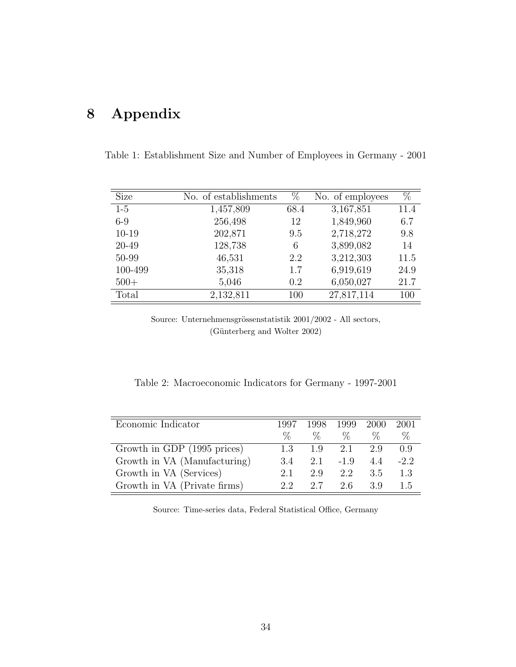## 8 Appendix

Table 1: Establishment Size and Number of Employees in Germany - 2001

| <b>Size</b> | No. of establishments | $\%$ | No. of employees | $\%$ |
|-------------|-----------------------|------|------------------|------|
| $1-5$       | 1,457,809             | 68.4 | 3,167,851        | 11.4 |
| $6-9$       | 256,498               | 12   | 1,849,960        | 6.7  |
| $10 - 19$   | 202,871               | 9.5  | 2,718,272        | 9.8  |
| 20-49       | 128,738               | 6    | 3,899,082        | 14   |
| 50-99       | 46,531                | 2.2  | 3,212,303        | 11.5 |
| 100-499     | 35,318                | 1.7  | 6,919,619        | 24.9 |
| $500+$      | 5,046                 | 0.2  | 6,050,027        | 21.7 |
| Total       | 2,132,811             | 100  | 27,817,114       | 100  |

Source: Unternehmensgrössenstatistik  $2001/2002$  - All sectors, (Günterberg and Wolter 2002)

Table 2: Macroeconomic Indicators for Germany - 1997-2001

| Economic Indicator           | 1997 | 1998 | 1999 2000   |      | 2001   |
|------------------------------|------|------|-------------|------|--------|
|                              | $\%$ | $\%$ | $\%$        | $\%$ | $\%$   |
| Growth in GDP (1995 prices)  | 1.3  |      | $1.9$ $2.1$ | 2.9  | (0.9)  |
| Growth in VA (Manufacturing) | 3.4  |      | $2.1 -1.9$  | 4.4  | $-2.2$ |
| Growth in VA (Services)      | 2.1  | 2.9  | 2.2         | 3.5  | 1.3    |
| Growth in VA (Private firms) | 22   | 2.7  | 2.6         | 3.9  | 1.5    |

Source: Time-series data, Federal Statistical Office, Germany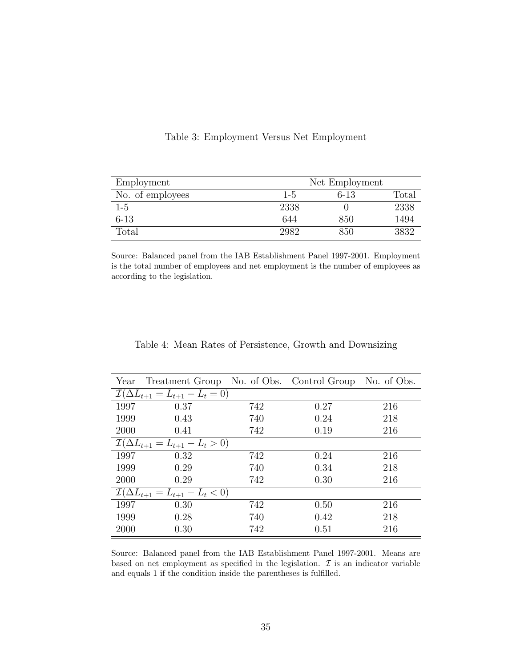| Employment       | Net Employment |        |       |  |
|------------------|----------------|--------|-------|--|
| No. of employees | $1 - 5$        | $6-13$ | Total |  |
| $1-5$            | 2338           |        | 2338  |  |
| 6-13             | 644            | 850    | 1494  |  |
| Total            | 2982           | 850    | 3832  |  |

Table 3: Employment Versus Net Employment

Source: Balanced panel from the IAB Establishment Panel 1997-2001. Employment is the total number of employees and net employment is the number of employees as according to the legislation.

| Year | Treatment Group No. of Obs. Control Group No. of Obs. |     |      |     |
|------|-------------------------------------------------------|-----|------|-----|
|      | $\mathcal{I}(\Delta L_{t+1} = L_{t+1} - L_t = 0)$     |     |      |     |
| 1997 | 0.37                                                  | 742 | 0.27 | 216 |
| 1999 | 0.43                                                  | 740 | 0.24 | 218 |
| 2000 | 0.41                                                  | 742 | 0.19 | 216 |
|      | $\mathcal{I}(\Delta L_{t+1} = L_{t+1} - L_t > 0)$     |     |      |     |
| 1997 | 0.32                                                  | 742 | 0.24 | 216 |
| 1999 | 0.29                                                  | 740 | 0.34 | 218 |
| 2000 | 0.29                                                  | 742 | 0.30 | 216 |
|      | $\mathcal{I}(\Delta L_{t+1} = L_{t+1} - L_t < 0)$     |     |      |     |
| 1997 | 0.30                                                  | 742 | 0.50 | 216 |
| 1999 | 0.28                                                  | 740 | 0.42 | 218 |
| 2000 | 0.30                                                  | 742 | 0.51 | 216 |

Table 4: Mean Rates of Persistence, Growth and Downsizing

Source: Balanced panel from the IAB Establishment Panel 1997-2001. Means are based on net employment as specified in the legislation.  $\mathcal I$  is an indicator variable and equals 1 if the condition inside the parentheses is fulfilled.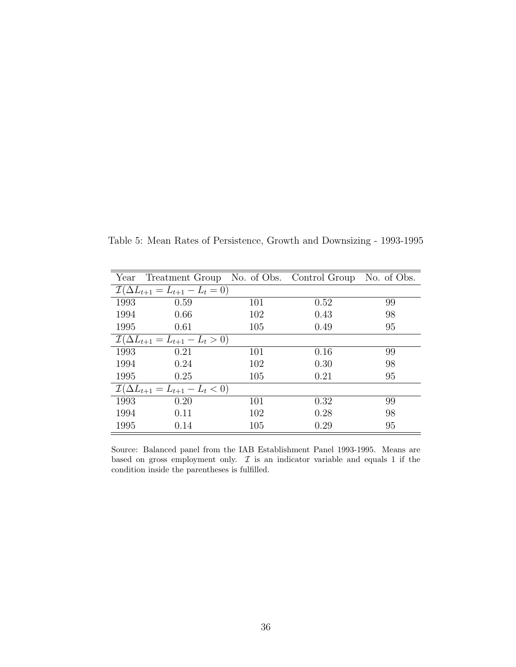Table 5: Mean Rates of Persistence, Growth and Downsizing - 1993-1995

|      | Year Treatment Group No. of Obs. Control Group No. of Obs. |     |      |    |
|------|------------------------------------------------------------|-----|------|----|
|      | $\mathcal{I}(\Delta L_{t+1} = L_{t+1} - L_t = 0)$          |     |      |    |
| 1993 | 0.59                                                       | 101 | 0.52 | 99 |
| 1994 | 0.66                                                       | 102 | 0.43 | 98 |
| 1995 | 0.61                                                       | 105 | 0.49 | 95 |
|      | $\mathcal{I}(\Delta L_{t+1} = L_{t+1} - L_t > 0)$          |     |      |    |
| 1993 | 0.21                                                       | 101 | 0.16 | 99 |
| 1994 | 0.24                                                       | 102 | 0.30 | 98 |
| 1995 | 0.25                                                       | 105 | 0.21 | 95 |
|      | $\mathcal{I}(\Delta L_{t+1} = L_{t+1} - L_t < 0)$          |     |      |    |
| 1993 | 0.20                                                       | 101 | 0.32 | 99 |
| 1994 | 0.11                                                       | 102 | 0.28 | 98 |
| 1995 | 0.14                                                       | 105 | 0.29 | 95 |

Source: Balanced panel from the IAB Establishment Panel 1993-1995. Means are based on gross employment only.  $\mathcal I$  is an indicator variable and equals 1 if the condition inside the parentheses is fulfilled.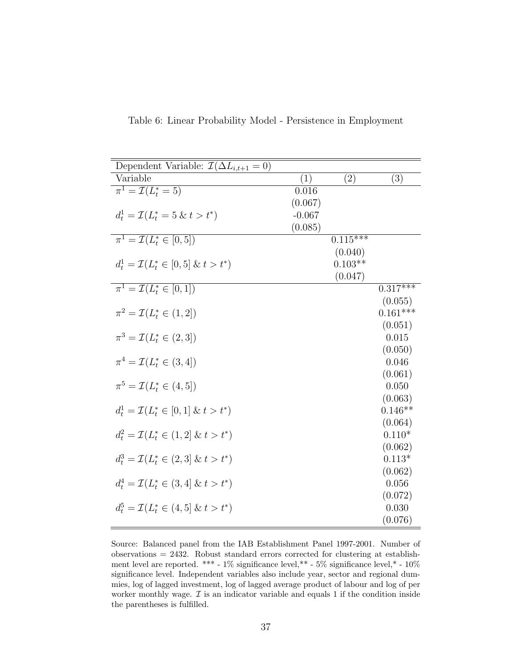| Dependent Variable: $\mathcal{I}(\Delta L_{i,t+1} = 0)$ |                   |                       |            |
|---------------------------------------------------------|-------------------|-----------------------|------------|
| Variable                                                | $\left( 1\right)$ | (2)                   | (3)        |
| $\pi^1 = \mathcal{I}(L_t^* = 5)$                        | 0.016             |                       |            |
|                                                         | (0.067)           |                       |            |
| $d_t^1 = \mathcal{I}(L_t^* = 5 \& t > t^*)$             | $-0.067$          |                       |            |
|                                                         | (0.085)           |                       |            |
| $\pi^1 = \mathcal{I}(L^*_t \in [0, 5])$                 |                   | $0.11\overline{5***}$ |            |
|                                                         |                   | (0.040)               |            |
| $d_t^1 = \mathcal{I}(L_t^* \in [0,5] \& t > t^*)$       |                   | $0.103**$             |            |
|                                                         |                   | (0.047)               |            |
| $\pi^1 = \mathcal{I}(L^*_t \in [0,1])$                  |                   |                       | $0.317***$ |
|                                                         |                   |                       | (0.055)    |
| $\pi^2 = \mathcal{I}(L^*_t \in (1,2])$                  |                   |                       | $0.161***$ |
|                                                         |                   |                       | (0.051)    |
| $\pi^3 = \mathcal{I}(L^*_t \in (2,3])$                  |                   |                       | 0.015      |
|                                                         |                   |                       | (0.050)    |
| $\pi^4 = \mathcal{I}(L^*_t \in (3, 4])$                 |                   |                       | 0.046      |
|                                                         |                   |                       | (0.061)    |
| $\pi^5 = \mathcal{I}(L^*_t \in (4, 5])$                 |                   |                       | 0.050      |
|                                                         |                   |                       | (0.063)    |
| $d_t^1 = \mathcal{I}(L_t^* \in [0,1] \& t > t^*)$       |                   |                       | $0.146**$  |
|                                                         |                   |                       | (0.064)    |
| $d_t^2 = \mathcal{I}(L_t^* \in (1,2] \& t > t^*)$       |                   |                       | $0.110*$   |
|                                                         |                   |                       | (0.062)    |
| $d_t^3 = \mathcal{I}(L_t^* \in (2,3] \& t > t^*)$       |                   |                       | $0.113*$   |
|                                                         |                   |                       | (0.062)    |
| $d_t^4 = \mathcal{I}(L_t^* \in (3, 4] \& t > t^*)$      |                   |                       | 0.056      |
|                                                         |                   |                       | (0.072)    |
| $d_t^5 = \mathcal{I}(L_t^* \in (4, 5] \& t > t^*)$      |                   |                       | 0.030      |
|                                                         |                   |                       | (0.076)    |

Table 6: Linear Probability Model - Persistence in Employment

Source: Balanced panel from the IAB Establishment Panel 1997-2001. Number of observations = 2432. Robust standard errors corrected for clustering at establishment level are reported. \*\*\* - 1% significance level,\*\* - 5% significance level,\* -  $10\%$ significance level. Independent variables also include year, sector and regional dummies, log of lagged investment, log of lagged average product of labour and log of per worker monthly wage.  $\mathcal I$  is an indicator variable and equals 1 if the condition inside the parentheses is fulfilled.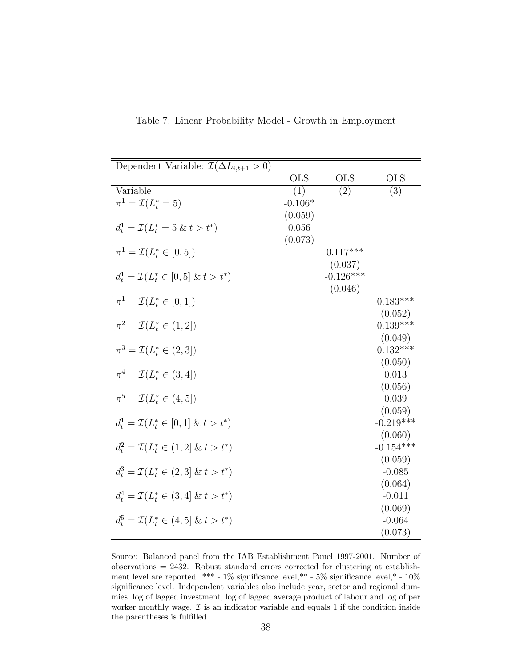| Dependent Variable: $\mathcal{I}(\Delta L_{i,t+1} > 0)$ |            |                       |                       |
|---------------------------------------------------------|------------|-----------------------|-----------------------|
|                                                         | <b>OLS</b> | <b>OLS</b>            | <b>OLS</b>            |
| Variable                                                | (1)        | (2)                   | (3)                   |
| $\pi^1 = \mathcal{I}(L_t^* = 5)$                        | $-0.106*$  |                       |                       |
|                                                         | (0.059)    |                       |                       |
| $d_t^1 = \mathcal{I}(L_t^* = 5 \& t > t^*)$             | 0.056      |                       |                       |
|                                                         | (0.073)    |                       |                       |
| $\pi^1 = \mathcal{I}(L^*_t \in [0, 5])$                 |            | $0.1\overline{17***}$ |                       |
|                                                         |            | (0.037)               |                       |
| $d_t^1 = \mathcal{I}(L_t^* \in [0,5] \& t > t^*)$       |            | $-0.126***$           |                       |
|                                                         |            | (0.046)               |                       |
| $\pi^1 = \mathcal{I}(L_t^* \in [0,1])$                  |            |                       | $0.\overline{183***}$ |
|                                                         |            |                       | (0.052)               |
| $\pi^2 = \mathcal{I}(L_t^* \in (1,2])$                  |            |                       | $0.139***$            |
|                                                         |            |                       | (0.049)               |
| $\pi^3 = \mathcal{I}(L_t^* \in (2,3])$                  |            |                       | $0.132***$            |
|                                                         |            |                       | (0.050)               |
| $\pi^4 = \mathcal{I}(L^*_t \in (3, 4])$                 |            |                       | 0.013                 |
|                                                         |            |                       | (0.056)               |
| $\pi^5 = \mathcal{I}(L_t^* \in (4, 5])$                 |            |                       | 0.039                 |
|                                                         |            |                       | (0.059)               |
| $d_t^1 = \mathcal{I}(L_t^* \in [0,1] \& t > t^*)$       |            |                       | $-0.219***$           |
|                                                         |            |                       | (0.060)               |
| $d_t^2 = \mathcal{I}(L_t^* \in (1,2] \& t > t^*)$       |            |                       | $-0.154***$           |
|                                                         |            |                       | (0.059)               |
| $d_t^3 = \mathcal{I}(L_t^* \in (2,3] \& t > t^*)$       |            |                       | $-0.085$              |
|                                                         |            |                       | (0.064)               |
| $d_t^4 = \mathcal{I}(L_t^* \in (3, 4] \& t > t^*)$      |            |                       | $-0.011$              |
|                                                         |            |                       | (0.069)               |
| $d_t^5 = \mathcal{I}(L_t^* \in (4, 5] \& t > t^*)$      |            |                       | $-0.064$              |
|                                                         |            |                       | (0.073)               |

Table 7: Linear Probability Model - Growth in Employment

Source: Balanced panel from the IAB Establishment Panel 1997-2001. Number of observations = 2432. Robust standard errors corrected for clustering at establishment level are reported. \*\*\* - 1% significance level,\*\* - 5% significance level,\* - 10% significance level. Independent variables also include year, sector and regional dummies, log of lagged investment, log of lagged average product of labour and log of per worker monthly wage.  $\mathcal I$  is an indicator variable and equals 1 if the condition inside the parentheses is fulfilled.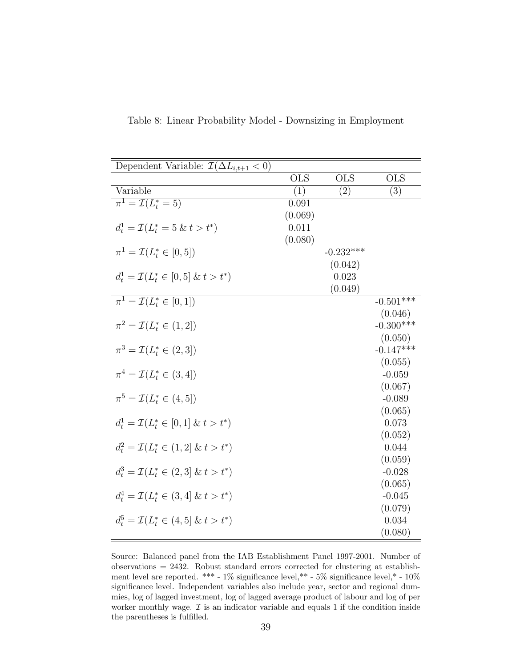| Dependent Variable: $\mathcal{I}(\Delta L_{i,t+1} < 0)$ |            |             |             |
|---------------------------------------------------------|------------|-------------|-------------|
|                                                         | <b>OLS</b> | <b>OLS</b>  | <b>OLS</b>  |
| Variable                                                | (1)        | (2)         | (3)         |
| $\pi^1 = \mathcal{I}(L_t^* = 5)$                        | 0.091      |             |             |
|                                                         | (0.069)    |             |             |
| $d_t^1 = \mathcal{I}(L_t^* = 5 \& t > t^*)$             | 0.011      |             |             |
|                                                         | (0.080)    |             |             |
| $\pi^1 = \mathcal{I}(L_t^* \in [0, 5])$                 |            | $-0.232***$ |             |
|                                                         |            | (0.042)     |             |
| $d_t^1 = \mathcal{I}(L_t^* \in [0,5] \& t > t^*)$       |            | 0.023       |             |
|                                                         |            | (0.049)     |             |
| $\pi^1 = \mathcal{I}(L^*_t \in [0,1])$                  |            |             | $-0.501***$ |
|                                                         |            |             | (0.046)     |
| $\pi^2 = \mathcal{I}(L^*_t \in (1,2])$                  |            |             | $-0.300***$ |
|                                                         |            |             | (0.050)     |
| $\pi^3 = \mathcal{I}(L_t^* \in (2,3])$                  |            |             | $-0.147***$ |
|                                                         |            |             | (0.055)     |
| $\pi^4 = \mathcal{I}(L^*_t \in (3, 4])$                 |            |             | $-0.059$    |
|                                                         |            |             | (0.067)     |
| $\pi^5 = \mathcal{I}(L_t^* \in (4, 5])$                 |            |             | $-0.089$    |
|                                                         |            |             | (0.065)     |
| $d_t^1 = \mathcal{I}(L_t^* \in [0,1] \& t > t^*)$       |            |             | 0.073       |
|                                                         |            |             | (0.052)     |
| $d_t^2 = \mathcal{I}(L_t^* \in (1,2] \& t > t^*)$       |            |             | 0.044       |
|                                                         |            |             | (0.059)     |
| $d_t^3 = \mathcal{I}(L_t^* \in (2,3] \& t > t^*)$       |            |             | $-0.028$    |
|                                                         |            |             | (0.065)     |
| $d_t^4 = \mathcal{I}(L_t^* \in (3, 4] \& t > t^*)$      |            |             | $-0.045$    |
|                                                         |            |             | (0.079)     |
| $d_t^5 = \mathcal{I}(L_t^* \in (4, 5] \& t > t^*)$      |            |             | 0.034       |
|                                                         |            |             | (0.080)     |

Table 8: Linear Probability Model - Downsizing in Employment

Source: Balanced panel from the IAB Establishment Panel 1997-2001. Number of observations = 2432. Robust standard errors corrected for clustering at establishment level are reported. \*\*\* - 1% significance level,\*\* - 5% significance level,\* - 10% significance level. Independent variables also include year, sector and regional dummies, log of lagged investment, log of lagged average product of labour and log of per worker monthly wage.  $\mathcal I$  is an indicator variable and equals 1 if the condition inside the parentheses is fulfilled.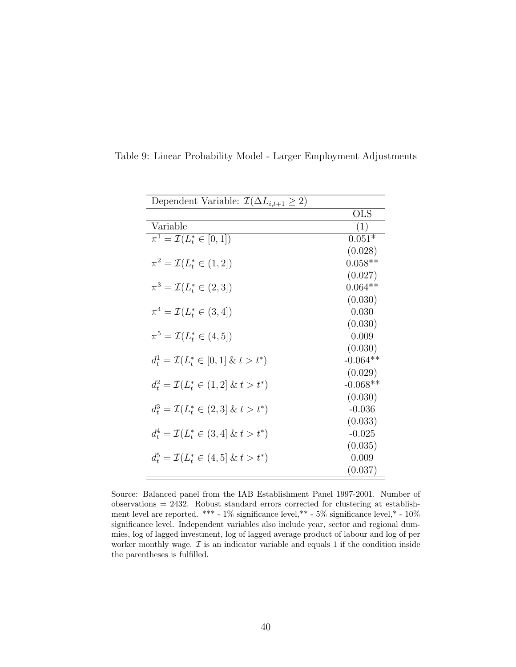| Dependent Variable: $\mathcal{I}(\Delta L_{i,t+1} \geq 2)$ |              |
|------------------------------------------------------------|--------------|
|                                                            | $_{\rm OLS}$ |
| Variable                                                   | (1)          |
| $\pi^1 = \mathcal{I}(L^*_t \in [0,1])$                     | $0.051*$     |
|                                                            | (0.028)      |
| $\pi^2 = \mathcal{I}(L_t^* \in (1,2])$                     | $0.058**$    |
|                                                            | (0.027)      |
| $\pi^3 = \mathcal{I}(L_t^* \in (2,3])$                     | $0.064**$    |
|                                                            | (0.030)      |
| $\pi^4 = \mathcal{I}(L_t^* \in (3, 4])$                    | 0.030        |
|                                                            | (0.030)      |
| $\pi^5 = \mathcal{I}(L_t^* \in (4, 5])$                    | 0.009        |
|                                                            | (0.030)      |
| $d_t^1 = \mathcal{I}(L_t^* \in [0,1] \& t > t^*)$          | $-0.064**$   |
|                                                            | (0.029)      |
| $d_t^2 = \mathcal{I}(L_t^* \in (1,2] \& t > t^*)$          | $-0.068**$   |
|                                                            | (0.030)      |
| $d_t^3 = \mathcal{I}(L_t^* \in (2,3] \& t > t^*)$          | $-0.036$     |
|                                                            | (0.033)      |
| $d_t^4 = \mathcal{I}(L_t^* \in (3, 4] \& t > t^*)$         | $-0.025$     |
|                                                            | (0.035)      |
| $d_t^5 = \mathcal{I}(L_t^* \in (4,5] \& t > t^*)$          | 0.009        |
|                                                            | (0.037)      |

Table 9: Linear Probability Model - Larger Employment Adjustments

Source: Balanced panel from the IAB Establishment Panel 1997-2001. Number of  $\alpha$ bservations = 2432. Robust standard errors corrected for clustering at establishment level are reported. \*\*\* - 1% significance level,\*\* - 5% significance level,\* - 10% significance level. Independent variables also include year, sector and regional dummies, log of lagged investment, log of lagged average product of labour and log of per worker monthly wage.  $\mathcal I$  is an indicator variable and equals 1 if the condition inside the parentheses is fulfilled.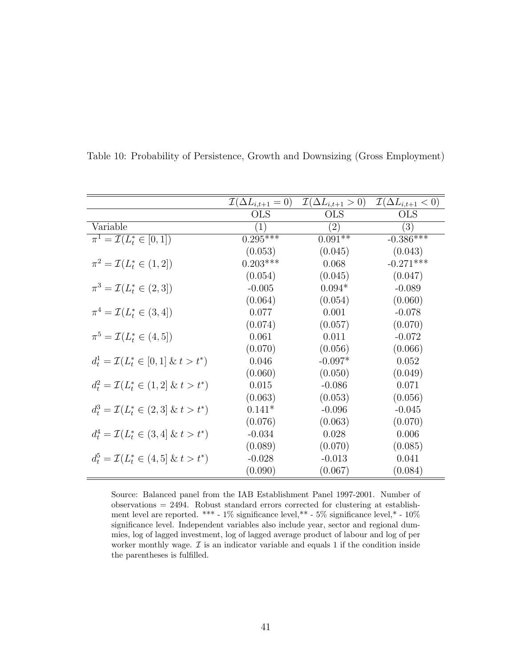|                                                    | $\mathcal{I}(\Delta L_{i,t+1}=0)$ | $\mathcal{I}(\Delta L_{i,t+1} > 0)$ | $\mathcal{I}(\Delta L_{i,t+1} < 0)$ |
|----------------------------------------------------|-----------------------------------|-------------------------------------|-------------------------------------|
|                                                    | <b>OLS</b>                        | <b>OLS</b>                          | <b>OLS</b>                          |
| Variable                                           | $\left(1\right)$                  | $\left( 2\right)$                   | $\left(3\right)$                    |
| $\pi^1 = \mathcal{I}(L_t^* \in [0,1])$             | $0.295***$                        | $0.091**$                           | $-0.386***$                         |
|                                                    | (0.053)                           | (0.045)                             | (0.043)                             |
| $\pi^2 = \mathcal{I}(L_t^* \in (1,2])$             | $0.203***$                        | 0.068                               | $-0.271***$                         |
|                                                    | (0.054)                           | (0.045)                             | (0.047)                             |
| $\pi^3 = \mathcal{I}(L_t^* \in (2,3])$             | $-0.005$                          | $0.094*$                            | $-0.089$                            |
|                                                    | (0.064)                           | (0.054)                             | (0.060)                             |
| $\pi^4 = \mathcal{I}(L_t^* \in (3, 4])$            | 0.077                             | 0.001                               | $-0.078$                            |
|                                                    | (0.074)                           | (0.057)                             | (0.070)                             |
| $\pi^5 = \mathcal{I}(L_t^* \in (4, 5])$            | 0.061                             | 0.011                               | $-0.072$                            |
|                                                    | (0.070)                           | (0.056)                             | (0.066)                             |
| $d_t^1 = \mathcal{I}(L_t^* \in [0,1] \& t > t^*)$  | 0.046                             | $-0.097*$                           | 0.052                               |
|                                                    | (0.060)                           | (0.050)                             | (0.049)                             |
| $d_t^2 = \mathcal{I}(L_t^* \in (1,2] \& t > t^*)$  | 0.015                             | $-0.086$                            | 0.071                               |
|                                                    | (0.063)                           | (0.053)                             | (0.056)                             |
| $d_t^3 = \mathcal{I}(L_t^* \in (2,3] \& t > t^*)$  | $0.141*$                          | $-0.096$                            | $-0.045$                            |
|                                                    | (0.076)                           | (0.063)                             | (0.070)                             |
| $d_t^4 = \mathcal{I}(L_t^* \in (3, 4] \& t > t^*)$ | $-0.034$                          | 0.028                               | 0.006                               |
|                                                    | (0.089)                           | (0.070)                             | (0.085)                             |
| $d_t^5 = \mathcal{I}(L_t^* \in (4,5] \& t > t^*)$  | $-0.028$                          | $-0.013$                            | 0.041                               |
|                                                    | (0.090)                           | (0.067)                             | (0.084)                             |

Table 10: Probability of Persistence, Growth and Downsizing (Gross Employment)

Source: Balanced panel from the IAB Establishment Panel 1997-2001. Number of  $\alpha$  observations = 2494. Robust standard errors corrected for clustering at establishment level are reported. \*\*\* - 1% significance level,\*\* - 5% significance level,\* - 10% significance level. Independent variables also include year, sector and regional dummies, log of lagged investment, log of lagged average product of labour and log of per worker monthly wage.  $\mathcal I$  is an indicator variable and equals 1 if the condition inside the parentheses is fulfilled.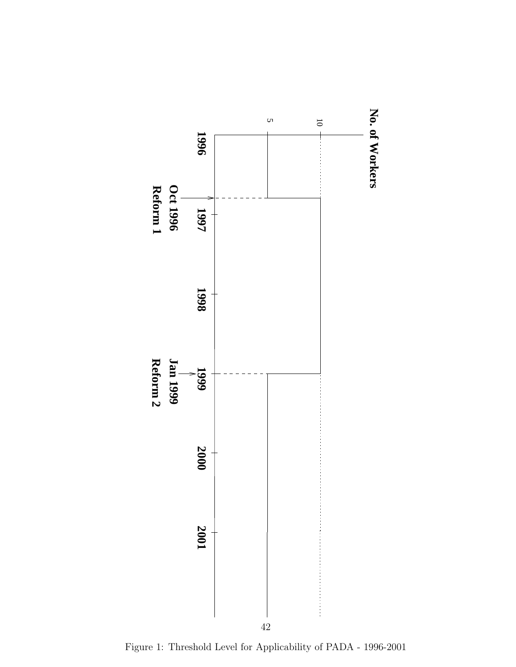

Figure 1: Threshold Level for Applicability of PADA - 1996-2001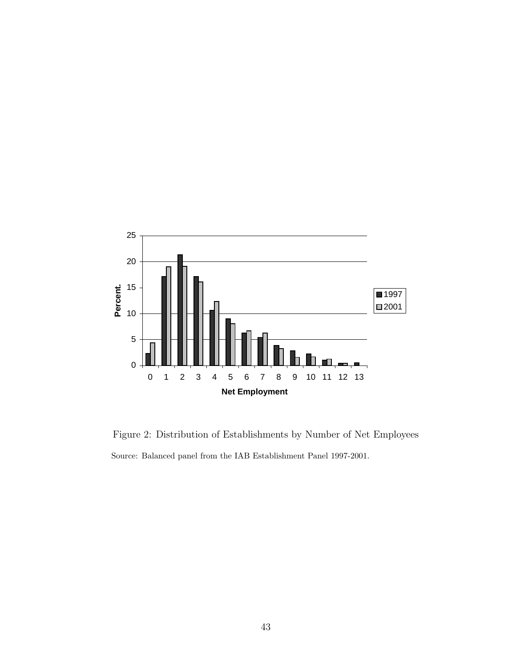

Figure 2: Distribution of Establishments by Number of Net Employees Source: Balanced panel from the IAB Establishment Panel 1997-2001.